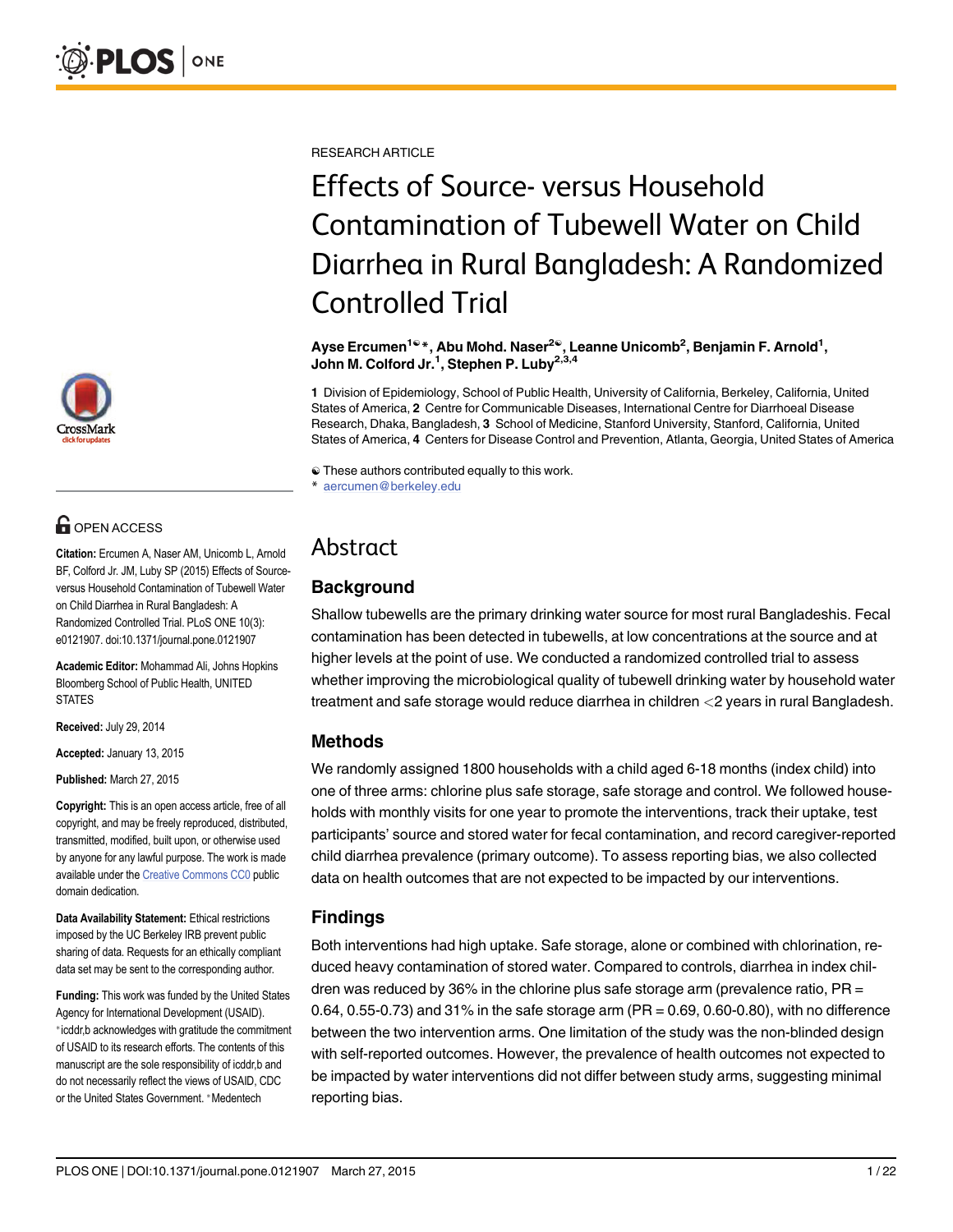

# $\blacksquare$  OPEN ACCESS

Citation: Ercumen A, Naser AM, Unicomb L, Arnold BF, Colford Jr. JM, Luby SP (2015) Effects of Sourceversus Household Contamination of Tubewell Water on Child Diarrhea in Rural Bangladesh: A Randomized Controlled Trial. PLoS ONE 10(3): e0121907. doi:10.1371/journal.pone.0121907

Academic Editor: Mohammad Ali, Johns Hopkins Bloomberg School of Public Health, UNITED **STATES** 

Received: July 29, 2014

Accepted: January 13, 2015

Published: March 27, 2015

Copyright: This is an open access article, free of all copyright, and may be freely reproduced, distributed, transmitted, modified, built upon, or otherwise used by anyone for any lawful purpose. The work is made available under the [Creative Commons CC0](https://creativecommons.org/publicdomain/zero/1.0/) public domain dedication.

Data Availability Statement: Ethical restrictions imposed by the UC Berkeley IRB prevent public sharing of data. Requests for an ethically compliant data set may be sent to the corresponding author.

Funding: This work was funded by the United States Agency for International Development (USAID). \*icddr,b acknowledges with gratitude the commitment of USAID to its research efforts. The contents of this manuscript are the sole responsibility of icddr,b and do not necessarily reflect the views of USAID, CDC or the United States Government. \*Medentech

RESEARCH ARTICLE

# Effects of Source- versus Household Contamination of Tubewell Water on Child Diarrhea in Rural Bangladesh: A Randomized Controlled Trial

Ayse Ercumen<sup>1©</sup>\*, Abu Mohd. Naser<sup>2©</sup>, Leanne Unicomb<sup>2</sup>, Benjamin F. Arnold<sup>1</sup>, John M. Colford Jr.<sup>1</sup>, Stephen P. Luby<sup>2,3,4</sup>

1 Division of Epidemiology, School of Public Health, University of California, Berkeley, California, United States of America, 2 Centre for Communicable Diseases, International Centre for Diarrhoeal Disease Research, Dhaka, Bangladesh, 3 School of Medicine, Stanford University, Stanford, California, United States of America, 4 Centers for Disease Control and Prevention, Atlanta, Georgia, United States of America

☯ These authors contributed equally to this work.

## Abstract

## **Background**

Shallow tubewells are the primary drinking water source for most rural Bangladeshis. Fecal contamination has been detected in tubewells, at low concentrations at the source and at higher levels at the point of use. We conducted a randomized controlled trial to assess whether improving the microbiological quality of tubewell drinking water by household water treatment and safe storage would reduce diarrhea in children <2 years in rural Bangladesh.

#### Methods

We randomly assigned 1800 households with a child aged 6-18 months (index child) into one of three arms: chlorine plus safe storage, safe storage and control. We followed households with monthly visits for one year to promote the interventions, track their uptake, test participants' source and stored water for fecal contamination, and record caregiver-reported child diarrhea prevalence (primary outcome). To assess reporting bias, we also collected data on health outcomes that are not expected to be impacted by our interventions.

#### Findings

Both interventions had high uptake. Safe storage, alone or combined with chlorination, reduced heavy contamination of stored water. Compared to controls, diarrhea in index children was reduced by 36% in the chlorine plus safe storage arm (prevalence ratio,  $PR =$ 0.64, 0.55-0.73) and 31% in the safe storage arm (PR = 0.69, 0.60-0.80), with no difference between the two intervention arms. One limitation of the study was the non-blinded design with self-reported outcomes. However, the prevalence of health outcomes not expected to be impacted by water interventions did not differ between study arms, suggesting minimal reporting bias.

aercumen@berkeley.edu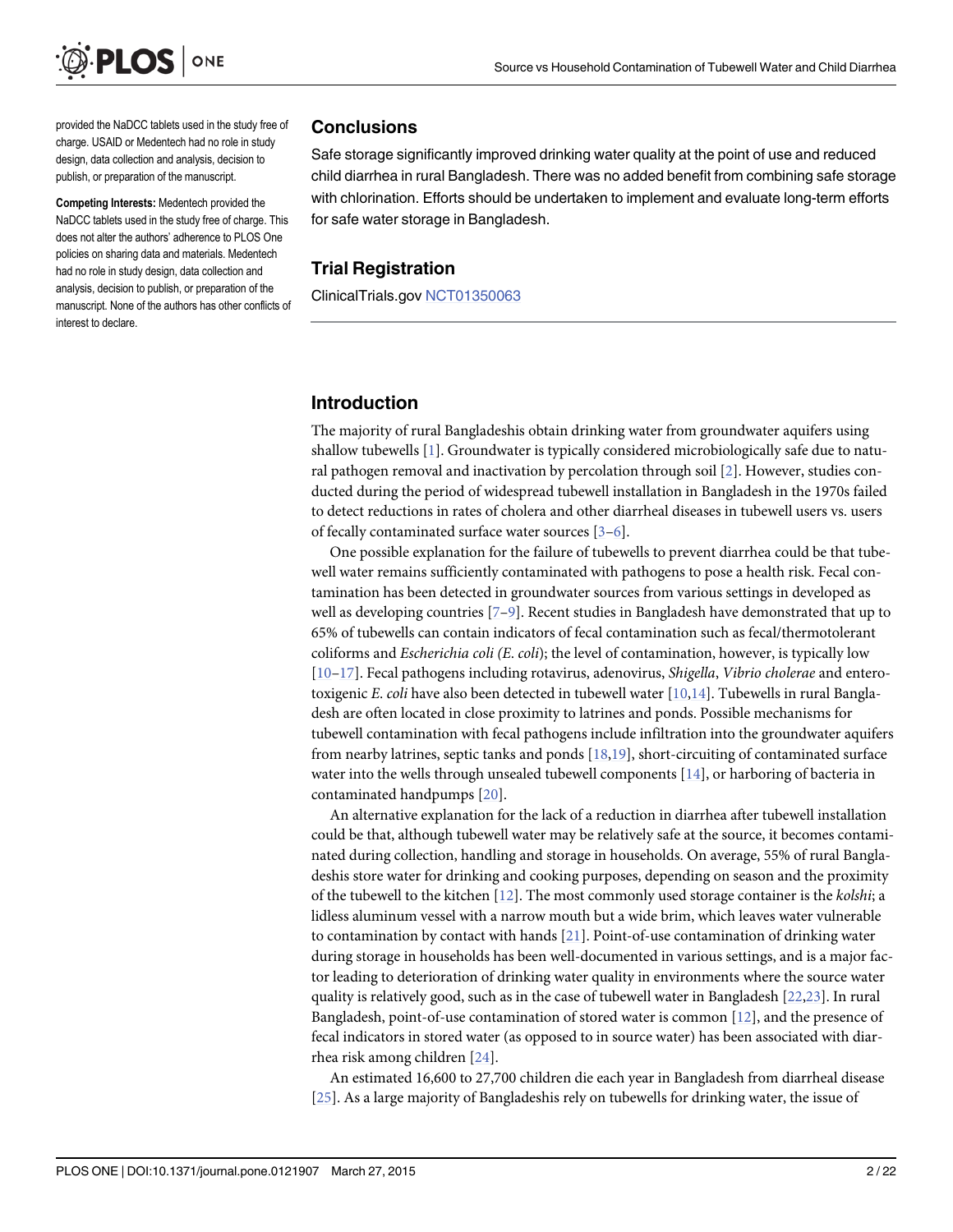<span id="page-1-0"></span>

provided the NaDCC tablets used in the study free of charge. USAID or Medentech had no role in study design, data collection and analysis, decision to publish, or preparation of the manuscript.

Competing Interests: Medentech provided the NaDCC tablets used in the study free of charge. This does not alter the authors' adherence to PLOS One policies on sharing data and materials. Medentech had no role in study design, data collection and analysis, decision to publish, or preparation of the manuscript. None of the authors has other conflicts of interest to declare.

## **Conclusions**

Safe storage significantly improved drinking water quality at the point of use and reduced child diarrhea in rural Bangladesh. There was no added benefit from combining safe storage with chlorination. Efforts should be undertaken to implement and evaluate long-term efforts for safe water storage in Bangladesh.

## Trial Registration

ClinicalTrials.gov [NCT01350063](https://clinicaltrials.gov/ct2/show/NCT01350063?term=NCT01350063&rank=1)

## Introduction

The majority of rural Bangladeshis obtain drinking water from groundwater aquifers using shallow tubewells [[1\]](#page-18-0). Groundwater is typically considered microbiologically safe due to natural pathogen removal and inactivation by percolation through soil [\[2](#page-18-0)]. However, studies conducted during the period of widespread tubewell installation in Bangladesh in the 1970s failed to detect reductions in rates of cholera and other diarrheal diseases in tubewell users vs. users of fecally contaminated surface water sources  $[3-6]$  $[3-6]$  $[3-6]$  $[3-6]$ .

One possible explanation for the failure of tubewells to prevent diarrhea could be that tubewell water remains sufficiently contaminated with pathogens to pose a health risk. Fecal contamination has been detected in groundwater sources from various settings in developed as well as developing countries [[7](#page-18-0)–[9](#page-19-0)]. Recent studies in Bangladesh have demonstrated that up to 65% of tubewells can contain indicators of fecal contamination such as fecal/thermotolerant coliforms and Escherichia coli (E. coli); the level of contamination, however, is typically low [\[10](#page-19-0)–[17\]](#page-19-0). Fecal pathogens including rotavirus, adenovirus, Shigella, Vibrio cholerae and enterotoxigenic E. coli have also been detected in tubewell water  $[10,14]$ . Tubewells in rural Bangladesh are often located in close proximity to latrines and ponds. Possible mechanisms for tubewell contamination with fecal pathogens include infiltration into the groundwater aquifers from nearby latrines, septic tanks and ponds [\[18,19](#page-19-0)], short-circuiting of contaminated surface water into the wells through unsealed tubewell components  $[14]$  $[14]$  $[14]$ , or harboring of bacteria in contaminated handpumps [[20](#page-19-0)].

An alternative explanation for the lack of a reduction in diarrhea after tubewell installation could be that, although tubewell water may be relatively safe at the source, it becomes contaminated during collection, handling and storage in households. On average, 55% of rural Bangladeshis store water for drinking and cooking purposes, depending on season and the proximity of the tubewell to the kitchen [[12](#page-19-0)]. The most commonly used storage container is the *kolshi*; a lidless aluminum vessel with a narrow mouth but a wide brim, which leaves water vulnerable to contamination by contact with hands [[21](#page-19-0)]. Point-of-use contamination of drinking water during storage in households has been well-documented in various settings, and is a major factor leading to deterioration of drinking water quality in environments where the source water quality is relatively good, such as in the case of tubewell water in Bangladesh [\[22,23\]](#page-19-0). In rural Bangladesh, point-of-use contamination of stored water is common [\[12\]](#page-19-0), and the presence of fecal indicators in stored water (as opposed to in source water) has been associated with diarrhea risk among children [\[24\]](#page-19-0).

An estimated 16,600 to 27,700 children die each year in Bangladesh from diarrheal disease [\[25](#page-19-0)]. As a large majority of Bangladeshis rely on tubewells for drinking water, the issue of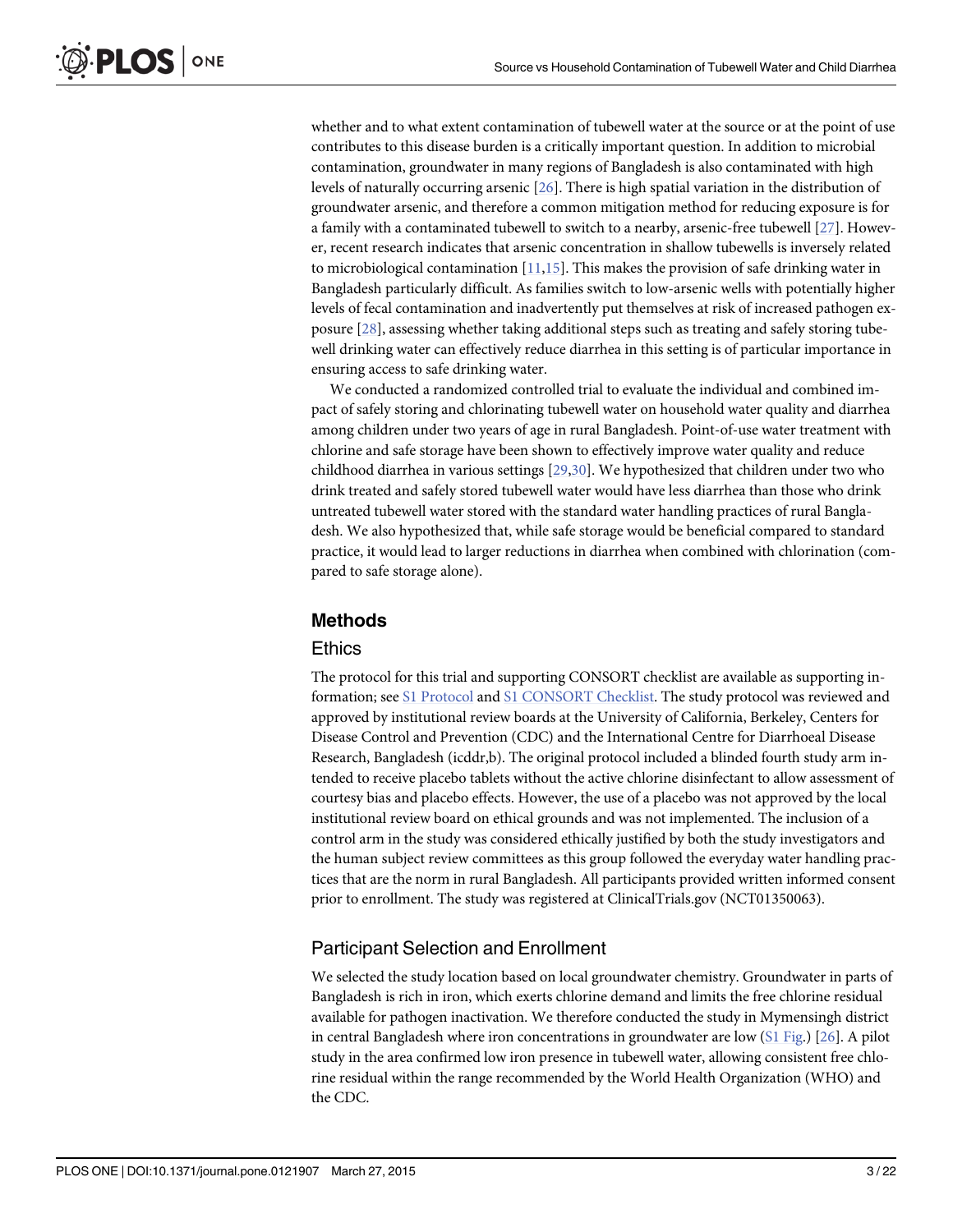whether and to what extent contamination of tubewell water at the source or at the point of use contributes to this disease burden is a critically important question. In addition to microbial contamination, groundwater in many regions of Bangladesh is also contaminated with high levels of naturally occurring arsenic [\[26\]](#page-19-0). There is high spatial variation in the distribution of groundwater arsenic, and therefore a common mitigation method for reducing exposure is for a family with a contaminated tubewell to switch to a nearby, arsenic-free tubewell [[27](#page-19-0)]. However, recent research indicates that arsenic concentration in shallow tubewells is inversely related to microbiological contamination  $[11,15]$  $[11,15]$  $[11,15]$ . This makes the provision of safe drinking water in Bangladesh particularly difficult. As families switch to low-arsenic wells with potentially higher levels of fecal contamination and inadvertently put themselves at risk of increased pathogen exposure [[28](#page-19-0)], assessing whether taking additional steps such as treating and safely storing tubewell drinking water can effectively reduce diarrhea in this setting is of particular importance in ensuring access to safe drinking water.

We conducted a randomized controlled trial to evaluate the individual and combined impact of safely storing and chlorinating tubewell water on household water quality and diarrhea among children under two years of age in rural Bangladesh. Point-of-use water treatment with chlorine and safe storage have been shown to effectively improve water quality and reduce childhood diarrhea in various settings [\[29,30\]](#page-20-0). We hypothesized that children under two who drink treated and safely stored tubewell water would have less diarrhea than those who drink untreated tubewell water stored with the standard water handling practices of rural Bangladesh. We also hypothesized that, while safe storage would be beneficial compared to standard practice, it would lead to larger reductions in diarrhea when combined with chlorination (compared to safe storage alone).

#### Methods

#### Ethics

<span id="page-2-0"></span>**PLOS I** 

ONE

The protocol for this trial and supporting CONSORT checklist are available as supporting information; see [S1 Protocol](#page-18-0) and [S1 CONSORT Checklist](#page-17-0). The study protocol was reviewed and approved by institutional review boards at the University of California, Berkeley, Centers for Disease Control and Prevention (CDC) and the International Centre for Diarrhoeal Disease Research, Bangladesh (icddr,b). The original protocol included a blinded fourth study arm intended to receive placebo tablets without the active chlorine disinfectant to allow assessment of courtesy bias and placebo effects. However, the use of a placebo was not approved by the local institutional review board on ethical grounds and was not implemented. The inclusion of a control arm in the study was considered ethically justified by both the study investigators and the human subject review committees as this group followed the everyday water handling practices that are the norm in rural Bangladesh. All participants provided written informed consent prior to enrollment. The study was registered at ClinicalTrials.gov (NCT01350063).

#### Participant Selection and Enrollment

We selected the study location based on local groundwater chemistry. Groundwater in parts of Bangladesh is rich in iron, which exerts chlorine demand and limits the free chlorine residual available for pathogen inactivation. We therefore conducted the study in Mymensingh district in central Bangladesh where iron concentrations in groundwater are low ([S1 Fig.](#page-17-0)) [\[26\]](#page-19-0). A pilot study in the area confirmed low iron presence in tubewell water, allowing consistent free chlorine residual within the range recommended by the World Health Organization (WHO) and the CDC.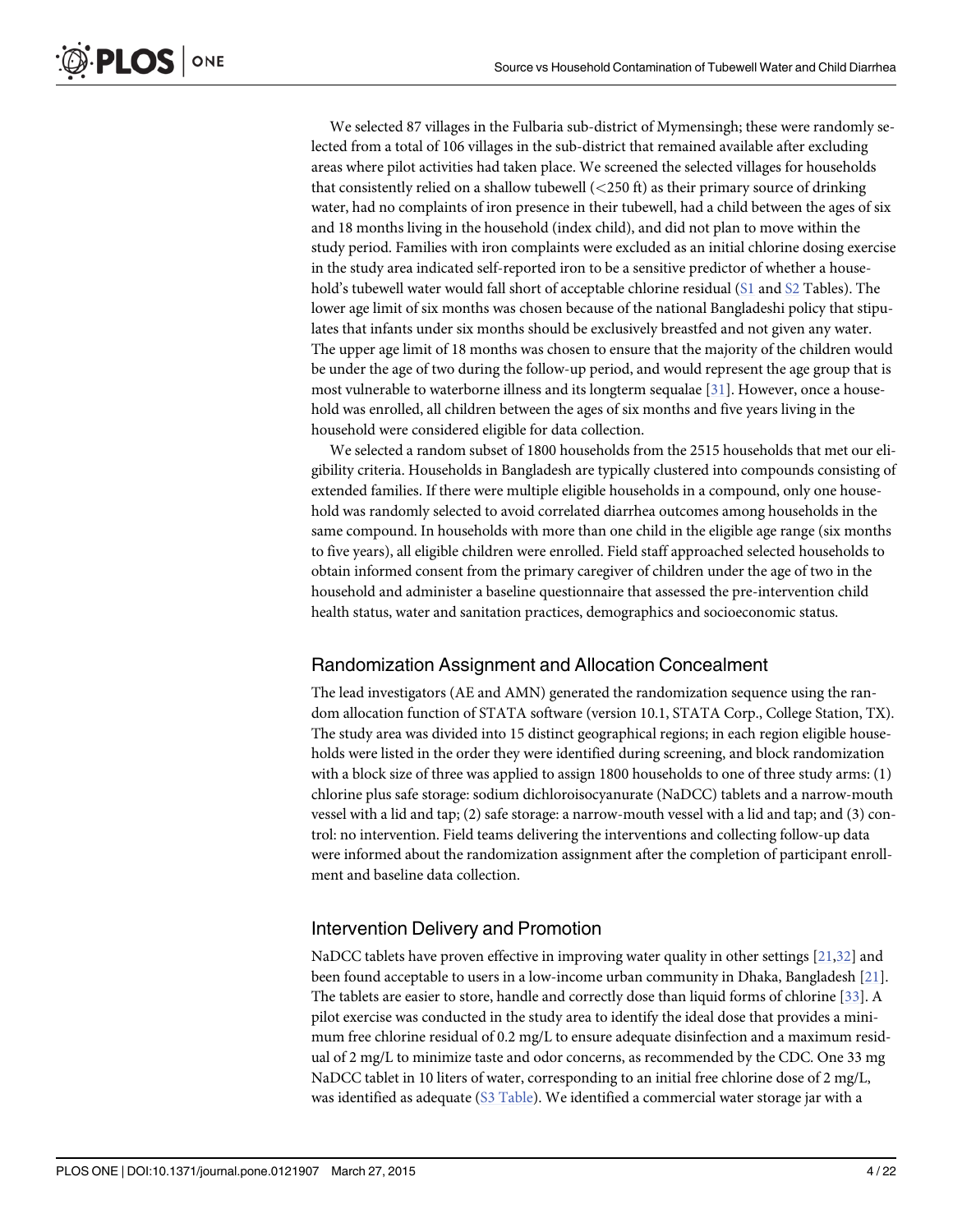<span id="page-3-0"></span>We selected 87 villages in the Fulbaria sub-district of Mymensingh; these were randomly selected from a total of 106 villages in the sub-district that remained available after excluding areas where pilot activities had taken place. We screened the selected villages for households that consistently relied on a shallow tubewell (<250 ft) as their primary source of drinking water, had no complaints of iron presence in their tubewell, had a child between the ages of six and 18 months living in the household (index child), and did not plan to move within the study period. Families with iron complaints were excluded as an initial chlorine dosing exercise in the study area indicated self-reported iron to be a sensitive predictor of whether a household's tubewell water would fall short of acceptable chlorine residual ([S1](#page-17-0) and [S2](#page-17-0) Tables). The lower age limit of six months was chosen because of the national Bangladeshi policy that stipulates that infants under six months should be exclusively breastfed and not given any water. The upper age limit of 18 months was chosen to ensure that the majority of the children would be under the age of two during the follow-up period, and would represent the age group that is most vulnerable to waterborne illness and its longterm sequalae [[31](#page-20-0)]. However, once a household was enrolled, all children between the ages of six months and five years living in the household were considered eligible for data collection.

We selected a random subset of 1800 households from the 2515 households that met our eligibility criteria. Households in Bangladesh are typically clustered into compounds consisting of extended families. If there were multiple eligible households in a compound, only one household was randomly selected to avoid correlated diarrhea outcomes among households in the same compound. In households with more than one child in the eligible age range (six months to five years), all eligible children were enrolled. Field staff approached selected households to obtain informed consent from the primary caregiver of children under the age of two in the household and administer a baseline questionnaire that assessed the pre-intervention child health status, water and sanitation practices, demographics and socioeconomic status.

## Randomization Assignment and Allocation Concealment

The lead investigators (AE and AMN) generated the randomization sequence using the random allocation function of STATA software (version 10.1, STATA Corp., College Station, TX). The study area was divided into 15 distinct geographical regions; in each region eligible households were listed in the order they were identified during screening, and block randomization with a block size of three was applied to assign 1800 households to one of three study arms: (1) chlorine plus safe storage: sodium dichloroisocyanurate (NaDCC) tablets and a narrow-mouth vessel with a lid and tap; (2) safe storage: a narrow-mouth vessel with a lid and tap; and (3) control: no intervention. Field teams delivering the interventions and collecting follow-up data were informed about the randomization assignment after the completion of participant enrollment and baseline data collection.

## Intervention Delivery and Promotion

NaDCC tablets have proven effective in improving water quality in other settings [[21](#page-19-0)[,32](#page-20-0)] and been found acceptable to users in a low-income urban community in Dhaka, Bangladesh [[21](#page-19-0)]. The tablets are easier to store, handle and correctly dose than liquid forms of chlorine [[33](#page-20-0)]. A pilot exercise was conducted in the study area to identify the ideal dose that provides a minimum free chlorine residual of 0.2 mg/L to ensure adequate disinfection and a maximum residual of 2 mg/L to minimize taste and odor concerns, as recommended by the CDC. One 33 mg NaDCC tablet in 10 liters of water, corresponding to an initial free chlorine dose of 2 mg/L, was identified as adequate ( $S3$  Table). We identified a commercial water storage jar with a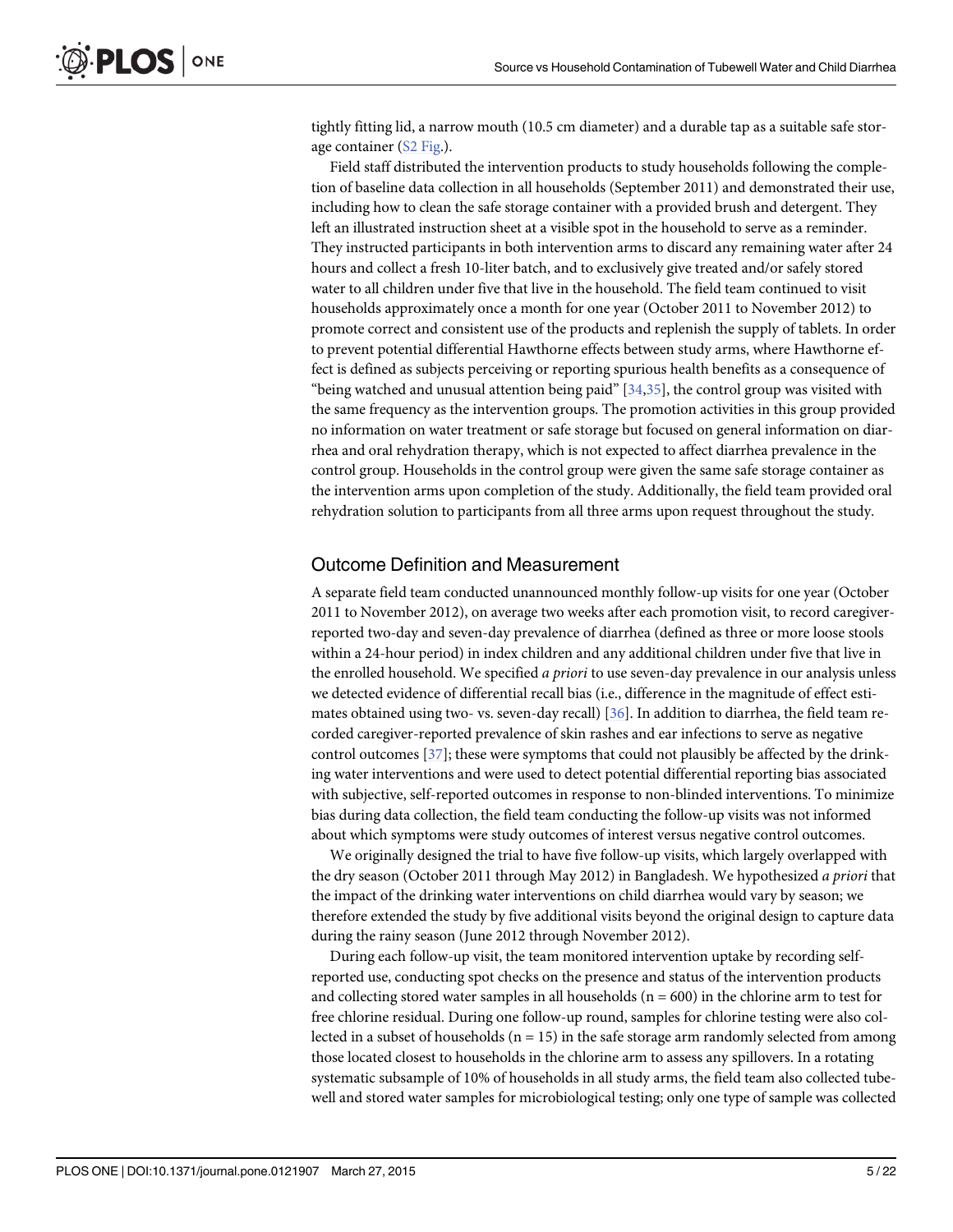<span id="page-4-0"></span>tightly fitting lid, a narrow mouth (10.5 cm diameter) and a durable tap as a suitable safe storage container ([S2 Fig.](#page-17-0)).

Field staff distributed the intervention products to study households following the completion of baseline data collection in all households (September 2011) and demonstrated their use, including how to clean the safe storage container with a provided brush and detergent. They left an illustrated instruction sheet at a visible spot in the household to serve as a reminder. They instructed participants in both intervention arms to discard any remaining water after 24 hours and collect a fresh 10-liter batch, and to exclusively give treated and/or safely stored water to all children under five that live in the household. The field team continued to visit households approximately once a month for one year (October 2011 to November 2012) to promote correct and consistent use of the products and replenish the supply of tablets. In order to prevent potential differential Hawthorne effects between study arms, where Hawthorne effect is defined as subjects perceiving or reporting spurious health benefits as a consequence of "being watched and unusual attention being paid"  $[34,35]$ , the control group was visited with the same frequency as the intervention groups. The promotion activities in this group provided no information on water treatment or safe storage but focused on general information on diarrhea and oral rehydration therapy, which is not expected to affect diarrhea prevalence in the control group. Households in the control group were given the same safe storage container as the intervention arms upon completion of the study. Additionally, the field team provided oral rehydration solution to participants from all three arms upon request throughout the study.

## Outcome Definition and Measurement

A separate field team conducted unannounced monthly follow-up visits for one year (October 2011 to November 2012), on average two weeks after each promotion visit, to record caregiverreported two-day and seven-day prevalence of diarrhea (defined as three or more loose stools within a 24-hour period) in index children and any additional children under five that live in the enrolled household. We specified *a priori* to use seven-day prevalence in our analysis unless we detected evidence of differential recall bias (i.e., difference in the magnitude of effect estimates obtained using two- vs. seven-day recall) [[36](#page-20-0)]. In addition to diarrhea, the field team recorded caregiver-reported prevalence of skin rashes and ear infections to serve as negative control outcomes [[37\]](#page-20-0); these were symptoms that could not plausibly be affected by the drinking water interventions and were used to detect potential differential reporting bias associated with subjective, self-reported outcomes in response to non-blinded interventions. To minimize bias during data collection, the field team conducting the follow-up visits was not informed about which symptoms were study outcomes of interest versus negative control outcomes.

We originally designed the trial to have five follow-up visits, which largely overlapped with the dry season (October 2011 through May 2012) in Bangladesh. We hypothesized a priori that the impact of the drinking water interventions on child diarrhea would vary by season; we therefore extended the study by five additional visits beyond the original design to capture data during the rainy season (June 2012 through November 2012).

During each follow-up visit, the team monitored intervention uptake by recording selfreported use, conducting spot checks on the presence and status of the intervention products and collecting stored water samples in all households ( $n = 600$ ) in the chlorine arm to test for free chlorine residual. During one follow-up round, samples for chlorine testing were also collected in a subset of households ( $n = 15$ ) in the safe storage arm randomly selected from among those located closest to households in the chlorine arm to assess any spillovers. In a rotating systematic subsample of 10% of households in all study arms, the field team also collected tubewell and stored water samples for microbiological testing; only one type of sample was collected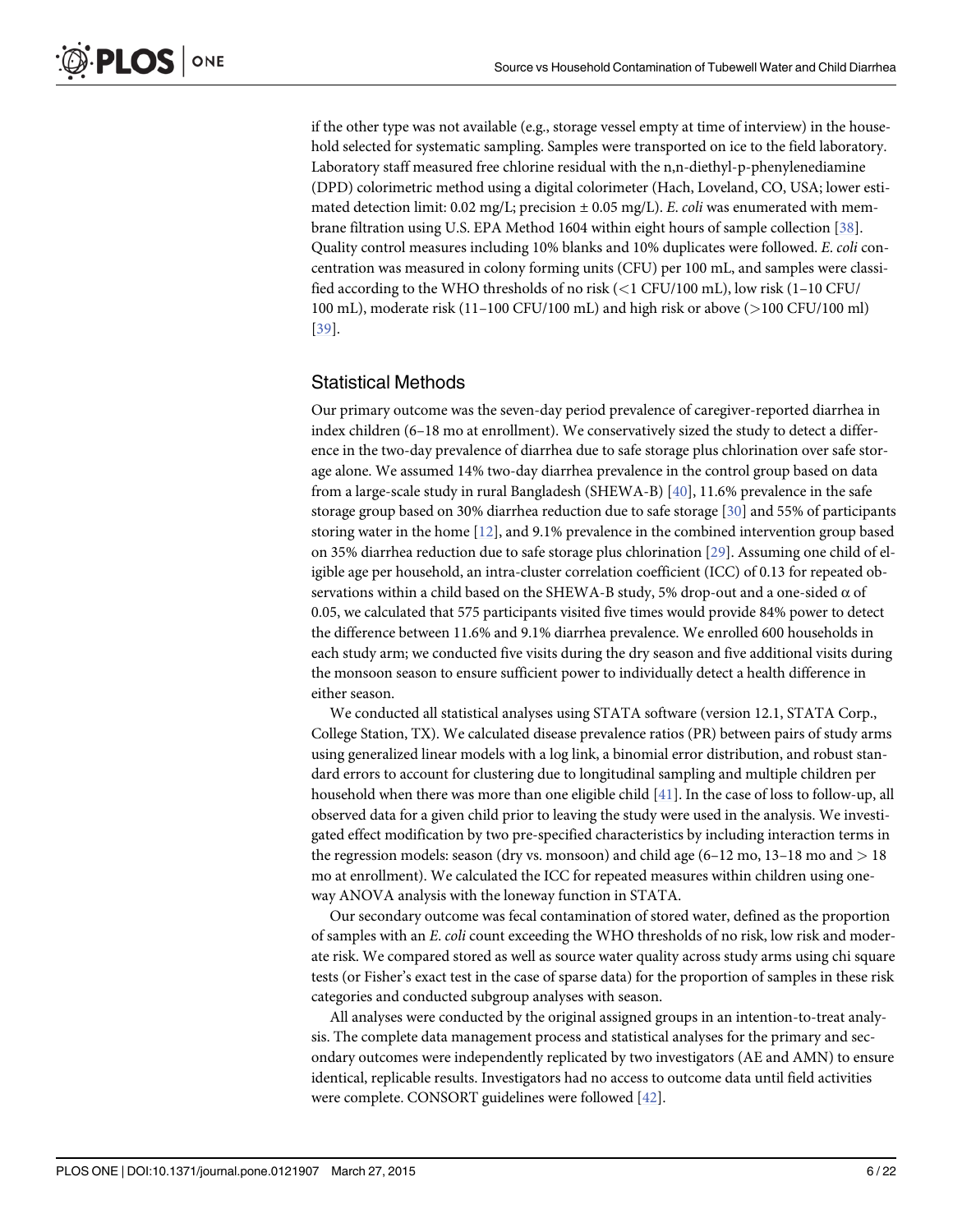<span id="page-5-0"></span>if the other type was not available (e.g., storage vessel empty at time of interview) in the household selected for systematic sampling. Samples were transported on ice to the field laboratory. Laboratory staff measured free chlorine residual with the n,n-diethyl-p-phenylenediamine (DPD) colorimetric method using a digital colorimeter (Hach, Loveland, CO, USA; lower estimated detection limit:  $0.02 \text{ mg/L}$ ; precision  $\pm 0.05 \text{ mg/L}$ ). E. coli was enumerated with membrane filtration using U.S. EPA Method 1604 within eight hours of sample collection [\[38](#page-20-0)]. Quality control measures including 10% blanks and 10% duplicates were followed. E. coli concentration was measured in colony forming units (CFU) per 100 mL, and samples were classified according to the WHO thresholds of no risk (<1 CFU/100 mL), low risk (1–10 CFU/ 100 mL), moderate risk (11–100 CFU/100 mL) and high risk or above (>100 CFU/100 ml) [\[39](#page-20-0)].

#### Statistical Methods

Our primary outcome was the seven-day period prevalence of caregiver-reported diarrhea in index children (6–18 mo at enrollment). We conservatively sized the study to detect a difference in the two-day prevalence of diarrhea due to safe storage plus chlorination over safe storage alone. We assumed 14% two-day diarrhea prevalence in the control group based on data from a large-scale study in rural Bangladesh (SHEWA-B) [\[40\]](#page-20-0), 11.6% prevalence in the safe storage group based on 30% diarrhea reduction due to safe storage [\[30\]](#page-20-0) and 55% of participants storing water in the home [[12](#page-19-0)], and 9.1% prevalence in the combined intervention group based on 35% diarrhea reduction due to safe storage plus chlorination [[29](#page-20-0)]. Assuming one child of eligible age per household, an intra-cluster correlation coefficient (ICC) of 0.13 for repeated observations within a child based on the SHEWA-B study, 5% drop-out and a one-sided  $\alpha$  of 0.05, we calculated that 575 participants visited five times would provide 84% power to detect the difference between 11.6% and 9.1% diarrhea prevalence. We enrolled 600 households in each study arm; we conducted five visits during the dry season and five additional visits during the monsoon season to ensure sufficient power to individually detect a health difference in either season.

We conducted all statistical analyses using STATA software (version 12.1, STATA Corp., College Station, TX). We calculated disease prevalence ratios (PR) between pairs of study arms using generalized linear models with a log link, a binomial error distribution, and robust standard errors to account for clustering due to longitudinal sampling and multiple children per household when there was more than one eligible child  $[41]$ . In the case of loss to follow-up, all observed data for a given child prior to leaving the study were used in the analysis. We investigated effect modification by two pre-specified characteristics by including interaction terms in the regression models: season (dry vs. monsoon) and child age  $(6-12 \text{ mo}, 13-18 \text{ mo}$  and  $> 18$ mo at enrollment). We calculated the ICC for repeated measures within children using oneway ANOVA analysis with the loneway function in STATA.

Our secondary outcome was fecal contamination of stored water, defined as the proportion of samples with an E. coli count exceeding the WHO thresholds of no risk, low risk and moderate risk. We compared stored as well as source water quality across study arms using chi square tests (or Fisher's exact test in the case of sparse data) for the proportion of samples in these risk categories and conducted subgroup analyses with season.

All analyses were conducted by the original assigned groups in an intention-to-treat analysis. The complete data management process and statistical analyses for the primary and secondary outcomes were independently replicated by two investigators (AE and AMN) to ensure identical, replicable results. Investigators had no access to outcome data until field activities were complete. CONSORT guidelines were followed [[42](#page-20-0)].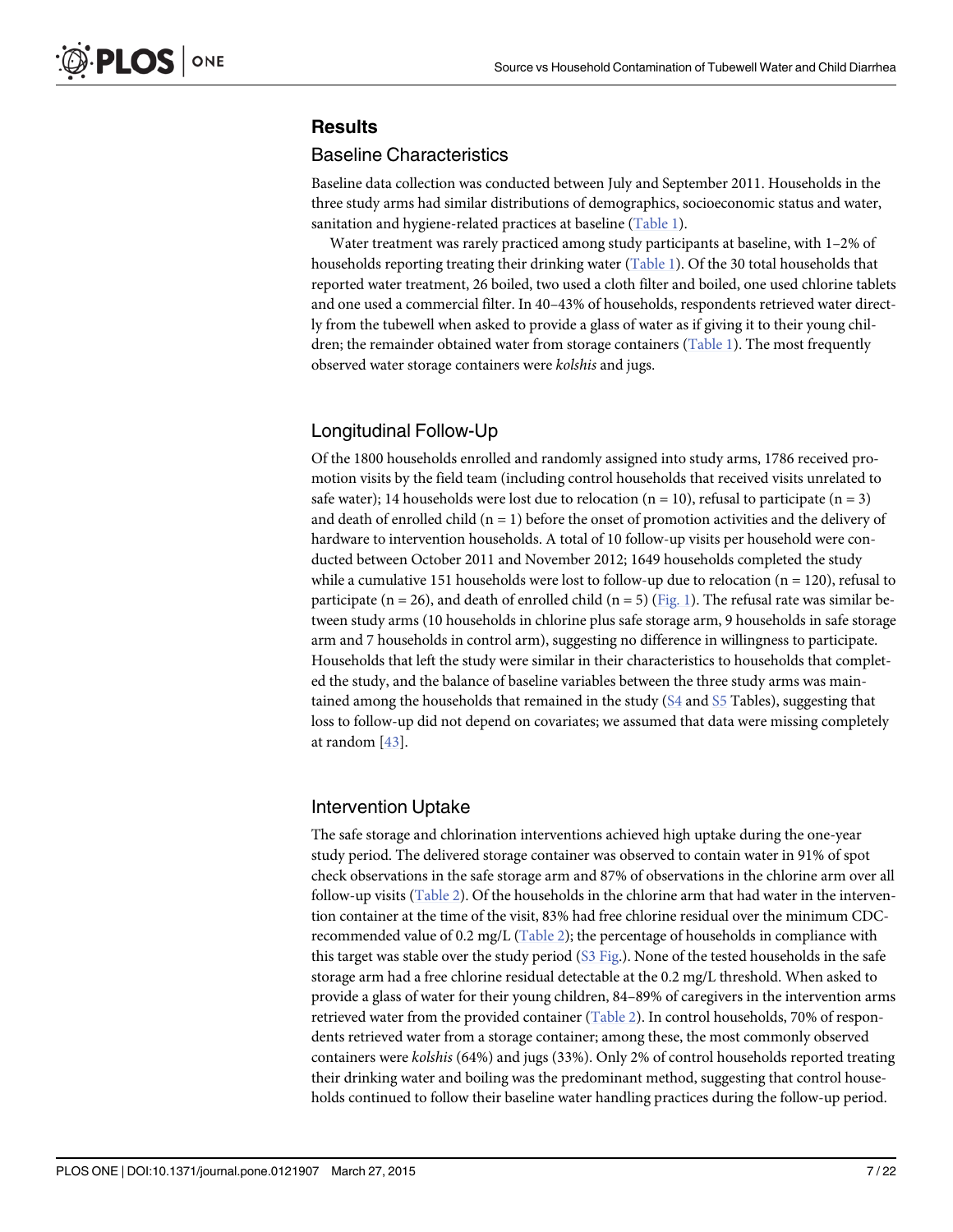## <span id="page-6-0"></span>**Results**

#### Baseline Characteristics

Baseline data collection was conducted between July and September 2011. Households in the three study arms had similar distributions of demographics, socioeconomic status and water, sanitation and hygiene-related practices at baseline [\(Table 1](#page-7-0)).

Water treatment was rarely practiced among study participants at baseline, with 1–2% of households reporting treating their drinking water [\(Table 1](#page-7-0)). Of the 30 total households that reported water treatment, 26 boiled, two used a cloth filter and boiled, one used chlorine tablets and one used a commercial filter. In 40–43% of households, respondents retrieved water directly from the tubewell when asked to provide a glass of water as if giving it to their young children; the remainder obtained water from storage containers [\(Table 1](#page-7-0)). The most frequently observed water storage containers were kolshis and jugs.

## Longitudinal Follow-Up

Of the 1800 households enrolled and randomly assigned into study arms, 1786 received promotion visits by the field team (including control households that received visits unrelated to safe water); 14 households were lost due to relocation ( $n = 10$ ), refusal to participate ( $n = 3$ ) and death of enrolled child  $(n = 1)$  before the onset of promotion activities and the delivery of hardware to intervention households. A total of 10 follow-up visits per household were conducted between October 2011 and November 2012; 1649 households completed the study while a cumulative 151 households were lost to follow-up due to relocation ( $n = 120$ ), refusal to participate (n = 26), and death of enrolled child (n = 5) [\(Fig. 1](#page-9-0)). The refusal rate was similar between study arms (10 households in chlorine plus safe storage arm, 9 households in safe storage arm and 7 households in control arm), suggesting no difference in willingness to participate. Households that left the study were similar in their characteristics to households that completed the study, and the balance of baseline variables between the three study arms was maintained among the households that remained in the study ( $S4$  and  $S5$  Tables), suggesting that loss to follow-up did not depend on covariates; we assumed that data were missing completely at random [\[43\]](#page-20-0).

#### Intervention Uptake

The safe storage and chlorination interventions achieved high uptake during the one-year study period. The delivered storage container was observed to contain water in 91% of spot check observations in the safe storage arm and 87% of observations in the chlorine arm over all follow-up visits [\(Table 2\)](#page-10-0). Of the households in the chlorine arm that had water in the intervention container at the time of the visit, 83% had free chlorine residual over the minimum CDC-recommended value of 0.2 mg/L ([Table 2\)](#page-10-0); the percentage of households in compliance with this target was stable over the study period [\(S3 Fig.](#page-17-0)). None of the tested households in the safe storage arm had a free chlorine residual detectable at the 0.2 mg/L threshold. When asked to provide a glass of water for their young children, 84–89% of caregivers in the intervention arms retrieved water from the provided container ([Table 2\)](#page-10-0). In control households, 70% of respondents retrieved water from a storage container; among these, the most commonly observed containers were kolshis (64%) and jugs (33%). Only 2% of control households reported treating their drinking water and boiling was the predominant method, suggesting that control households continued to follow their baseline water handling practices during the follow-up period.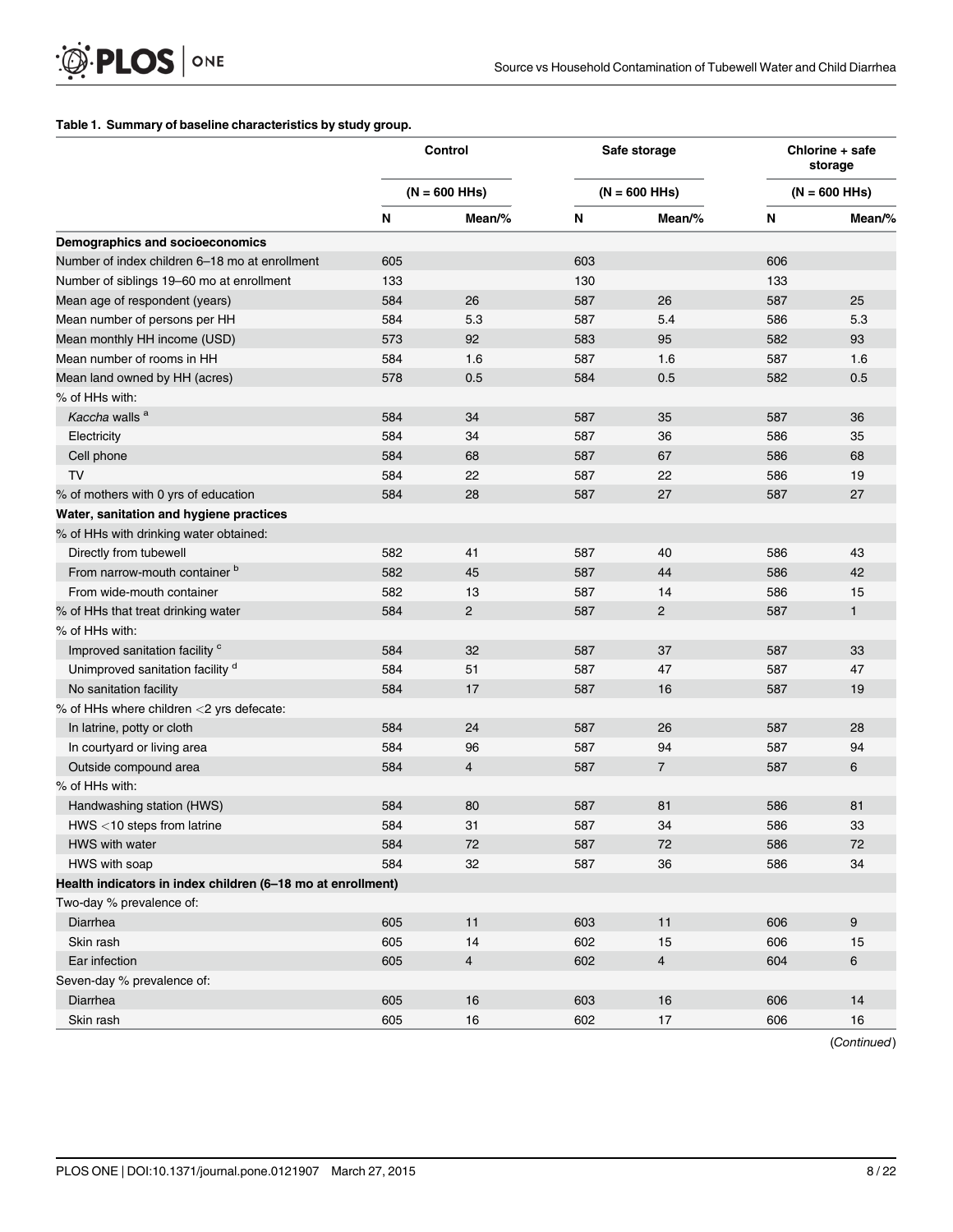#### <span id="page-7-0"></span>[Table 1.](#page-6-0) Summary of baseline characteristics by study group.

|                                                             |     | Control         |           | Safe storage    | Chlorine + safe<br>storage<br>$(N = 600$ HHs) |              |  |
|-------------------------------------------------------------|-----|-----------------|-----------|-----------------|-----------------------------------------------|--------------|--|
|                                                             |     | $(N = 600$ HHs) |           | $(N = 600$ HHs) |                                               |              |  |
|                                                             | N   | Mean/%          | ${\sf N}$ | Mean/%          | $\boldsymbol{\mathsf{N}}$                     | Mean/%       |  |
| Demographics and socioeconomics                             |     |                 |           |                 |                                               |              |  |
| Number of index children 6-18 mo at enrollment              | 605 |                 | 603       |                 | 606                                           |              |  |
| Number of siblings 19-60 mo at enrollment                   | 133 |                 | 130       |                 | 133                                           |              |  |
| Mean age of respondent (years)                              | 584 | 26              | 587       | 26              | 587                                           | 25           |  |
| Mean number of persons per HH                               | 584 | 5.3             | 587       | 5.4             | 586                                           | 5.3          |  |
| Mean monthly HH income (USD)                                | 573 | 92              | 583       | 95              | 582                                           | 93           |  |
| Mean number of rooms in HH                                  | 584 | 1.6             | 587       | 1.6             | 587                                           | 1.6          |  |
| Mean land owned by HH (acres)                               | 578 | 0.5             | 584       | 0.5             | 582                                           | 0.5          |  |
| % of HHs with:                                              |     |                 |           |                 |                                               |              |  |
| Kaccha walls <sup>a</sup>                                   | 584 | 34              | 587       | 35              | 587                                           | 36           |  |
| Electricity                                                 | 584 | 34              | 587       | 36              | 586                                           | 35           |  |
| Cell phone                                                  | 584 | 68              | 587       | 67              | 586                                           | 68           |  |
| TV                                                          | 584 | 22              | 587       | 22              | 586                                           | 19           |  |
| % of mothers with 0 yrs of education                        | 584 | 28              | 587       | 27              | 587                                           | 27           |  |
| Water, sanitation and hygiene practices                     |     |                 |           |                 |                                               |              |  |
| % of HHs with drinking water obtained:                      |     |                 |           |                 |                                               |              |  |
| Directly from tubewell                                      | 582 | 41              | 587       | 40              | 586                                           | 43           |  |
| From narrow-mouth container b                               | 582 | 45              | 587       | 44              | 586                                           | 42           |  |
| From wide-mouth container                                   | 582 | 13              | 587       | 14              | 586                                           | 15           |  |
| % of HHs that treat drinking water                          | 584 | $\overline{2}$  | 587       | $\overline{2}$  | 587                                           | $\mathbf{1}$ |  |
| % of HHs with:                                              |     |                 |           |                 |                                               |              |  |
| Improved sanitation facility c                              | 584 | 32              | 587       | 37              | 587                                           | 33           |  |
| Unimproved sanitation facility d                            | 584 | 51              | 587       | 47              | 587                                           | 47           |  |
| No sanitation facility                                      | 584 | 17              | 587       | 16              | 587                                           | 19           |  |
| % of HHs where children $<$ 2 yrs defecate:                 |     |                 |           |                 |                                               |              |  |
| In latrine, potty or cloth                                  | 584 | 24              | 587       | 26              | 587                                           | 28           |  |
| In courtyard or living area                                 | 584 | 96              | 587       | 94              | 587                                           | 94           |  |
| Outside compound area                                       | 584 | $\overline{4}$  | 587       | $\overline{7}$  | 587                                           | 6            |  |
| % of HHs with:                                              |     |                 |           |                 |                                               |              |  |
| Handwashing station (HWS)                                   | 584 | 80              | 587       | 81              | 586                                           | 81           |  |
| HWS <10 steps from latrine                                  | 584 | 31              | 587       | 34              | 586                                           | 33           |  |
| HWS with water                                              | 584 | 72              | 587       | 72              | 586                                           | 72           |  |
| HWS with soap                                               | 584 | 32              | 587       | 36              | 586                                           | 34           |  |
| Health indicators in index children (6-18 mo at enrollment) |     |                 |           |                 |                                               |              |  |
| Two-day % prevalence of:                                    |     |                 |           |                 |                                               |              |  |
| Diarrhea                                                    | 605 | 11              | 603       | 11              | 606                                           | 9            |  |
| Skin rash                                                   | 605 | 14              | 602       | 15              | 606                                           | 15           |  |
| Ear infection                                               | 605 | $\overline{4}$  | 602       | $\overline{4}$  | 604                                           | 6            |  |
| Seven-day % prevalence of:                                  |     |                 |           |                 |                                               |              |  |
| Diarrhea                                                    | 605 | 16              | 603       | 16              | 606                                           | 14           |  |
| Skin rash                                                   | 605 | 16              | 602       | 17              | 606                                           | 16           |  |
|                                                             |     |                 |           |                 |                                               |              |  |

(Continued)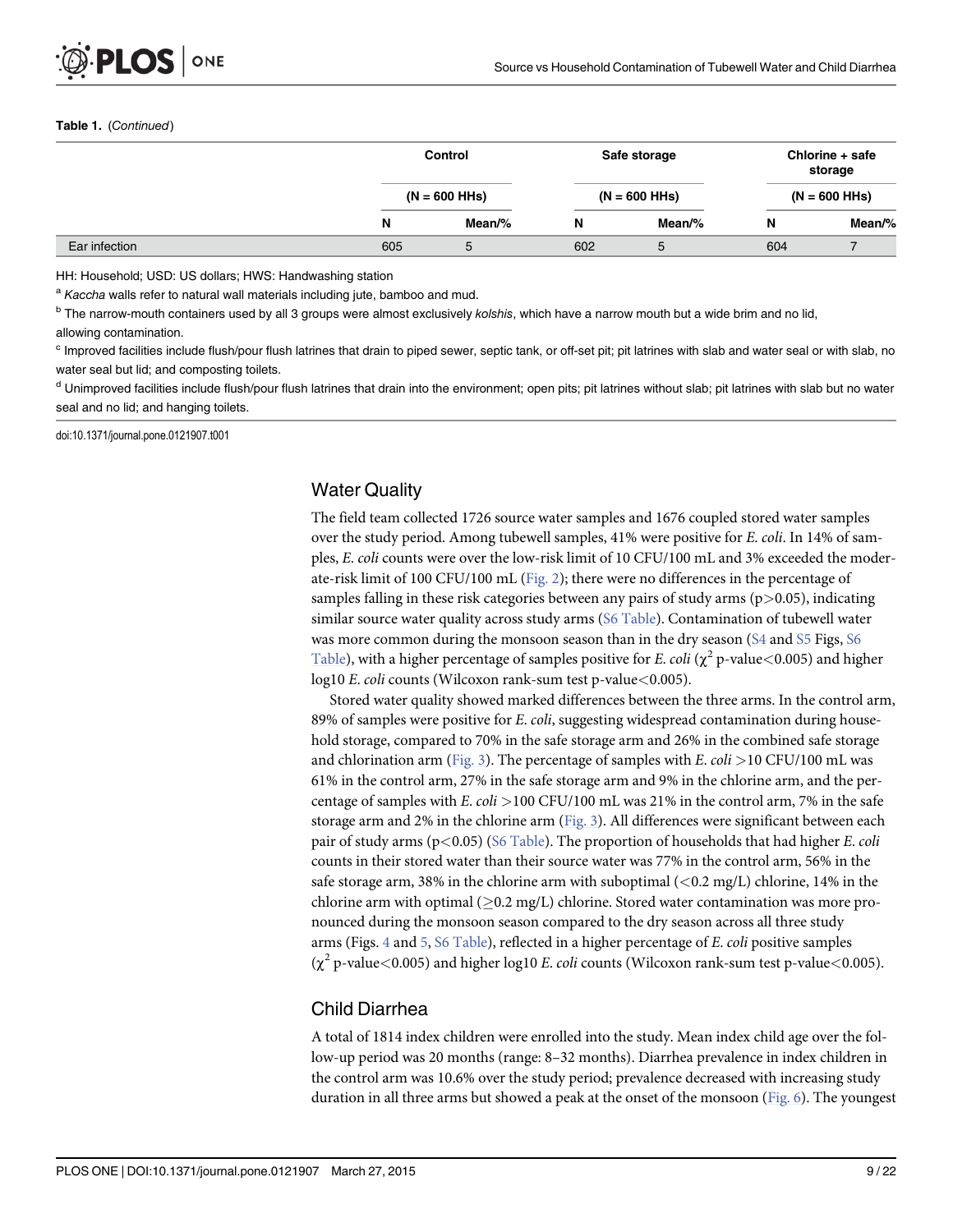#### <span id="page-8-0"></span>Table 1. (Continued)

|               |     | Control         |     | Safe storage    | Chlorine + safe<br>storage |        |  |
|---------------|-----|-----------------|-----|-----------------|----------------------------|--------|--|
|               |     | $(N = 600$ HHs) |     | $(N = 600$ HHs) | $(N = 600$ HHs)            |        |  |
|               | N   | Mean/%          | N   | Mean/%          | N                          | Mean/% |  |
| Ear infection | 605 | ა               | 602 | ა               | 604                        |        |  |

HH: Household; USD: US dollars; HWS: Handwashing station

<sup>a</sup> Kaccha walls refer to natural wall materials including jute, bamboo and mud.

<sup>b</sup> The narrow-mouth containers used by all 3 groups were almost exclusively kolshis, which have a narrow mouth but a wide brim and no lid,

allowing contamination.

<sup>c</sup> Improved facilities include flush/pour flush latrines that drain to piped sewer, septic tank, or off-set pit; pit latrines with slab and water seal or with slab, no water seal but lid; and composting toilets.

<sup>d</sup> Unimproved facilities include flush/pour flush latrines that drain into the environment; open pits; pit latrines without slab; pit latrines with slab but no water seal and no lid; and hanging toilets.

doi:10.1371/journal.pone.0121907.t001

## Water Quality

The field team collected 1726 source water samples and 1676 coupled stored water samples over the study period. Among tubewell samples, 41% were positive for E. coli. In 14% of samples, E. coli counts were over the low-risk limit of 10 CFU/100 mL and 3% exceeded the moderate-risk limit of 100 CFU/100 mL ([Fig. 2](#page-11-0)); there were no differences in the percentage of samples falling in these risk categories between any pairs of study arms ( $p > 0.05$ ), indicating similar source water quality across study arms ([S6 Table\)](#page-18-0). Contamination of tubewell water was more common during the monsoon season than in the dry season  $(S4 \text{ and } S5 \text{ Figs, } S6$  $(S4 \text{ and } S5 \text{ Figs, } S6$  $(S4 \text{ and } S5 \text{ Figs, } S6$  $(S4 \text{ and } S5 \text{ Figs, } S6$  $(S4 \text{ and } S5 \text{ Figs, } S6$  $(S4 \text{ and } S5 \text{ Figs, } S6$ [Table](#page-18-0)), with a higher percentage of samples positive for E. coli ( $\chi^2$  p-value <0.005) and higher  $log10 E$ . *coli* counts (Wilcoxon rank-sum test p-value < 0.005).

Stored water quality showed marked differences between the three arms. In the control arm, 89% of samples were positive for E. coli, suggesting widespread contamination during household storage, compared to 70% in the safe storage arm and 26% in the combined safe storage and chlorination arm [\(Fig. 3\)](#page-12-0). The percentage of samples with E.  $\text{coli} > 10 \text{ CFU}/100 \text{ mL}$  was 61% in the control arm, 27% in the safe storage arm and 9% in the chlorine arm, and the percentage of samples with E. coli >100 CFU/100 mL was 21% in the control arm, 7% in the safe storage arm and 2% in the chlorine arm ([Fig. 3](#page-12-0)). All differences were significant between each pair of study arms ( $p<0.05$ ) [\(S6 Table](#page-18-0)). The proportion of households that had higher E. coli counts in their stored water than their source water was 77% in the control arm, 56% in the safe storage arm, 38% in the chlorine arm with suboptimal  $(< 0.2$  mg/L) chlorine, 14% in the chlorine arm with optimal ( $\geq$ 0.2 mg/L) chlorine. Stored water contamination was more pronounced during the monsoon season compared to the dry season across all three study arms (Figs.  $4$  and  $5$ ,  $56$  Table), reflected in a higher percentage of E. coli positive samples  $(\chi^2$  p-value<0.005) and higher log10 *E. coli* counts (Wilcoxon rank-sum test p-value<0.005).

## Child Diarrhea

A total of 1814 index children were enrolled into the study. Mean index child age over the follow-up period was 20 months (range: 8–32 months). Diarrhea prevalence in index children in the control arm was 10.6% over the study period; prevalence decreased with increasing study duration in all three arms but showed a peak at the onset of the monsoon  $(Fig. 6)$ . The youngest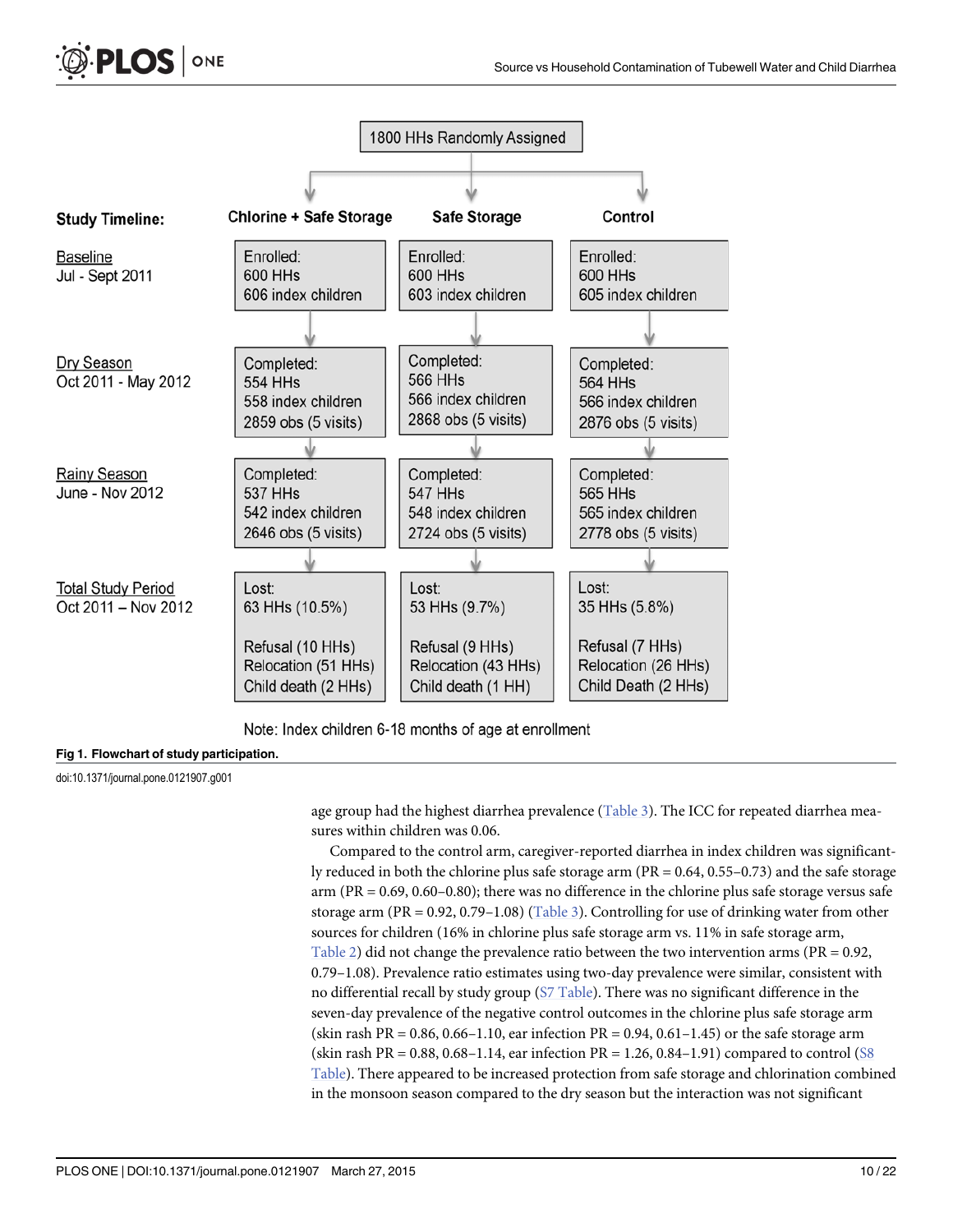<span id="page-9-0"></span>

Note: Index children 6-18 months of age at enrollment

#### [Fig 1. F](#page-6-0)lowchart of study participation.

doi:10.1371/journal.pone.0121907.g001

age group had the highest diarrhea prevalence ([Table 3\)](#page-16-0). The ICC for repeated diarrhea measures within children was 0.06.

Compared to the control arm, caregiver-reported diarrhea in index children was significantly reduced in both the chlorine plus safe storage arm ( $PR = 0.64$ ,  $0.55-0.73$ ) and the safe storage arm ( $PR = 0.69, 0.60 - 0.80$ ); there was no difference in the chlorine plus safe storage versus safe storage arm (PR = 0.92, 0.79–1.08) ([Table 3\)](#page-16-0). Controlling for use of drinking water from other sources for children (16% in chlorine plus safe storage arm vs. 11% in safe storage arm, [Table 2](#page-10-0)) did not change the prevalence ratio between the two intervention arms ( $PR = 0.92$ , 0.79–1.08). Prevalence ratio estimates using two-day prevalence were similar, consistent with no differential recall by study group ([S7 Table\)](#page-18-0). There was no significant difference in the seven-day prevalence of the negative control outcomes in the chlorine plus safe storage arm (skin rash PR =  $0.86$ ,  $0.66-1.10$ , ear infection PR =  $0.94$ ,  $0.61-1.45$ ) or the safe storage arm (skin rash PR =  $0.88$ ,  $0.68 - 1.14$ , ear infection PR =  $1.26$ ,  $0.84 - 1.91$ ) compared to control [\(S8](#page-18-0)) [Table](#page-18-0)). There appeared to be increased protection from safe storage and chlorination combined in the monsoon season compared to the dry season but the interaction was not significant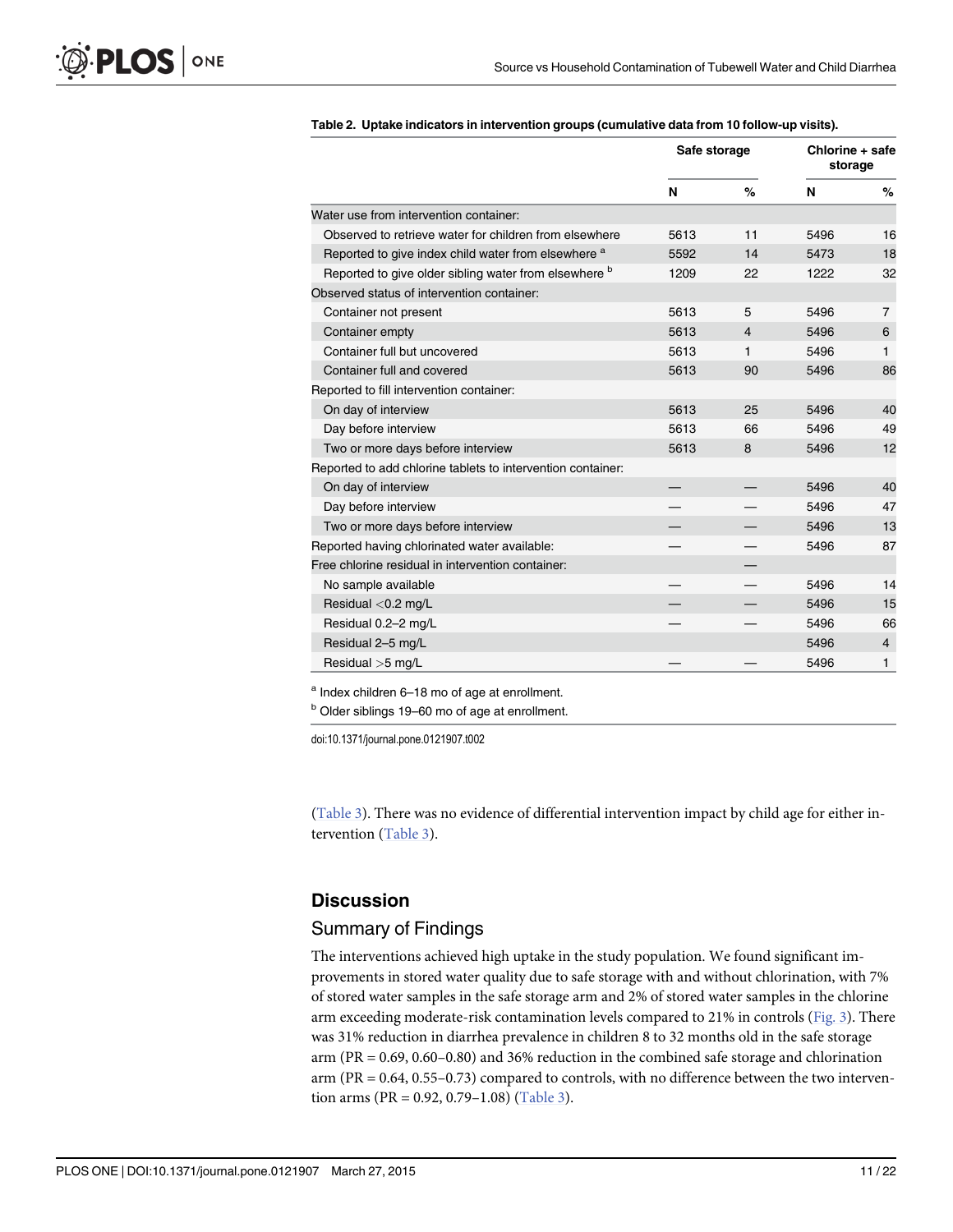<span id="page-10-0"></span>

|                                                                  | Safe storage |                | Chlorine + safe<br>storage |                |  |
|------------------------------------------------------------------|--------------|----------------|----------------------------|----------------|--|
|                                                                  | N            | $\%$           | N                          | $\%$           |  |
| Water use from intervention container:                           |              |                |                            |                |  |
| Observed to retrieve water for children from elsewhere           | 5613         | 11             | 5496                       | 16             |  |
| Reported to give index child water from elsewhere <sup>a</sup>   | 5592         | 14             | 5473                       | 18             |  |
| Reported to give older sibling water from elsewhere <sup>b</sup> | 1209         | 22             | 1222                       | 32             |  |
| Observed status of intervention container:                       |              |                |                            |                |  |
| Container not present                                            | 5613         | 5              | 5496                       | $\overline{7}$ |  |
| Container empty                                                  | 5613         | $\overline{4}$ | 5496                       | 6              |  |
| Container full but uncovered                                     | 5613         | 1              | 5496                       | 1              |  |
| Container full and covered                                       | 5613         | 90             | 5496                       | 86             |  |
| Reported to fill intervention container:                         |              |                |                            |                |  |
| On day of interview                                              | 5613         | 25             | 5496                       | 40             |  |
| Day before interview                                             | 5613         | 66             | 5496                       | 49             |  |
| Two or more days before interview                                | 5613         | 8              | 5496                       | 12             |  |
| Reported to add chlorine tablets to intervention container:      |              |                |                            |                |  |
| On day of interview                                              |              |                | 5496                       | 40             |  |
| Day before interview                                             |              |                | 5496                       | 47             |  |
| Two or more days before interview                                |              |                | 5496                       | 13             |  |
| Reported having chlorinated water available:                     |              |                | 5496                       | 87             |  |
| Free chlorine residual in intervention container:                |              |                |                            |                |  |
| No sample available                                              |              |                | 5496                       | 14             |  |
| Residual $<$ 0.2 mg/L                                            |              |                | 5496                       | 15             |  |
| Residual 0.2-2 mg/L                                              |              |                | 5496                       | 66             |  |
| Residual 2-5 mg/L                                                |              |                | 5496                       | $\overline{4}$ |  |
| Residual $>5$ mg/L                                               |              |                | 5496                       | 1              |  |

#### [Table 2.](#page-6-0) Uptake indicators in intervention groups (cumulative data from 10 follow-up visits).

<sup>a</sup> Index children 6–18 mo of age at enrollment.

b Older siblings 19–60 mo of age at enrollment.

doi:10.1371/journal.pone.0121907.t002

[\(Table 3\)](#page-16-0). There was no evidence of differential intervention impact by child age for either intervention ([Table 3\)](#page-16-0).

## **Discussion**

#### Summary of Findings

The interventions achieved high uptake in the study population. We found significant improvements in stored water quality due to safe storage with and without chlorination, with 7% of stored water samples in the safe storage arm and 2% of stored water samples in the chlorine arm exceeding moderate-risk contamination levels compared to 21% in controls ([Fig. 3](#page-12-0)). There was 31% reduction in diarrhea prevalence in children 8 to 32 months old in the safe storage arm (PR = 0.69, 0.60–0.80) and 36% reduction in the combined safe storage and chlorination arm (PR = 0.64, 0.55–0.73) compared to controls, with no difference between the two intervention arms (PR =  $0.92$ ,  $0.79-1.08$ ) ([Table 3](#page-16-0)).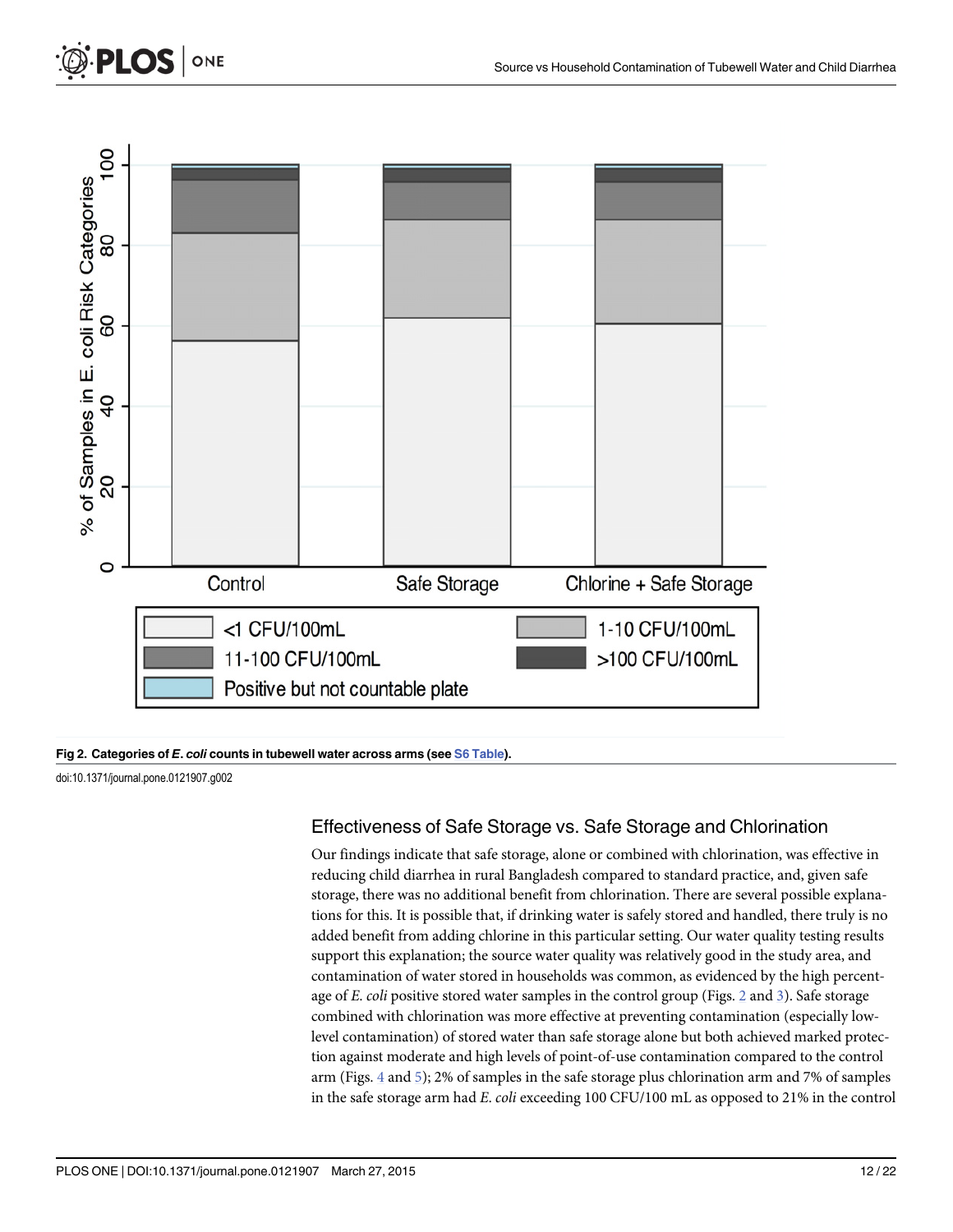<span id="page-11-0"></span>

#### [Fig 2. C](#page-8-0)ategories of E. coli counts in tubewell water across arms (see [S6 Table](#page-18-0)).

doi:10.1371/journal.pone.0121907.g002

## Effectiveness of Safe Storage vs. Safe Storage and Chlorination

Our findings indicate that safe storage, alone or combined with chlorination, was effective in reducing child diarrhea in rural Bangladesh compared to standard practice, and, given safe storage, there was no additional benefit from chlorination. There are several possible explanations for this. It is possible that, if drinking water is safely stored and handled, there truly is no added benefit from adding chlorine in this particular setting. Our water quality testing results support this explanation; the source water quality was relatively good in the study area, and contamination of water stored in households was common, as evidenced by the high percentage of E. coli positive stored water samples in the control group (Figs.  $2$  and  $3$ ). Safe storage combined with chlorination was more effective at preventing contamination (especially lowlevel contamination) of stored water than safe storage alone but both achieved marked protection against moderate and high levels of point-of-use contamination compared to the control arm (Figs.  $4$  and  $5$ ); 2% of samples in the safe storage plus chlorination arm and 7% of samples in the safe storage arm had E. coli exceeding 100 CFU/100 mL as opposed to 21% in the control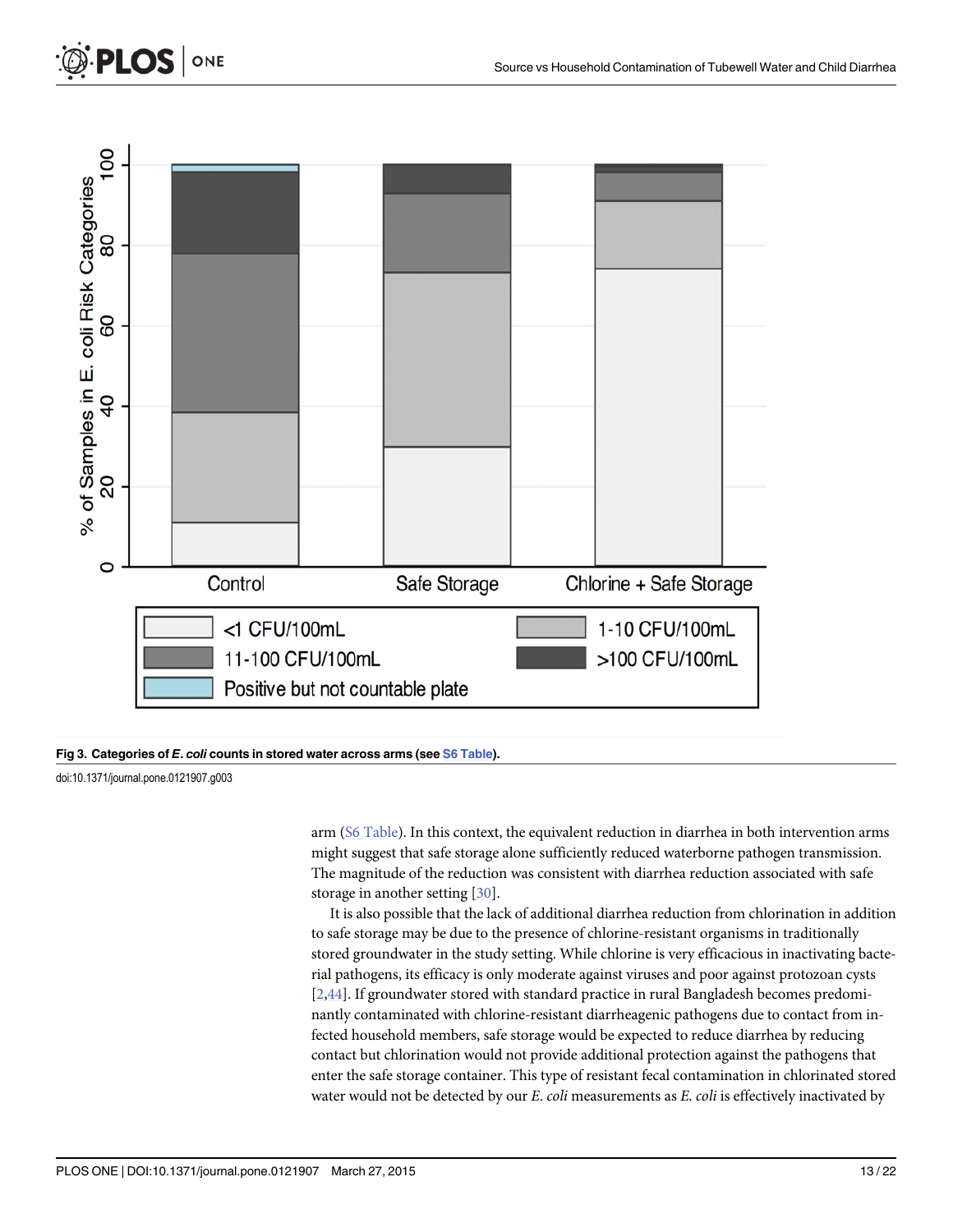<span id="page-12-0"></span>

#### [Fig 3. C](#page-8-0)ategories of E. coli counts in stored water across arms (see [S6 Table\)](#page-18-0).

doi:10.1371/journal.pone.0121907.g003

arm ([S6 Table\)](#page-18-0). In this context, the equivalent reduction in diarrhea in both intervention arms might suggest that safe storage alone sufficiently reduced waterborne pathogen transmission. The magnitude of the reduction was consistent with diarrhea reduction associated with safe storage in another setting [\[30\]](#page-20-0).

It is also possible that the lack of additional diarrhea reduction from chlorination in addition to safe storage may be due to the presence of chlorine-resistant organisms in traditionally stored groundwater in the study setting. While chlorine is very efficacious in inactivating bacterial pathogens, its efficacy is only moderate against viruses and poor against protozoan cysts [\[2](#page-18-0)[,44](#page-20-0)]. If groundwater stored with standard practice in rural Bangladesh becomes predominantly contaminated with chlorine-resistant diarrheagenic pathogens due to contact from infected household members, safe storage would be expected to reduce diarrhea by reducing contact but chlorination would not provide additional protection against the pathogens that enter the safe storage container. This type of resistant fecal contamination in chlorinated stored water would not be detected by our E. coli measurements as E. coli is effectively inactivated by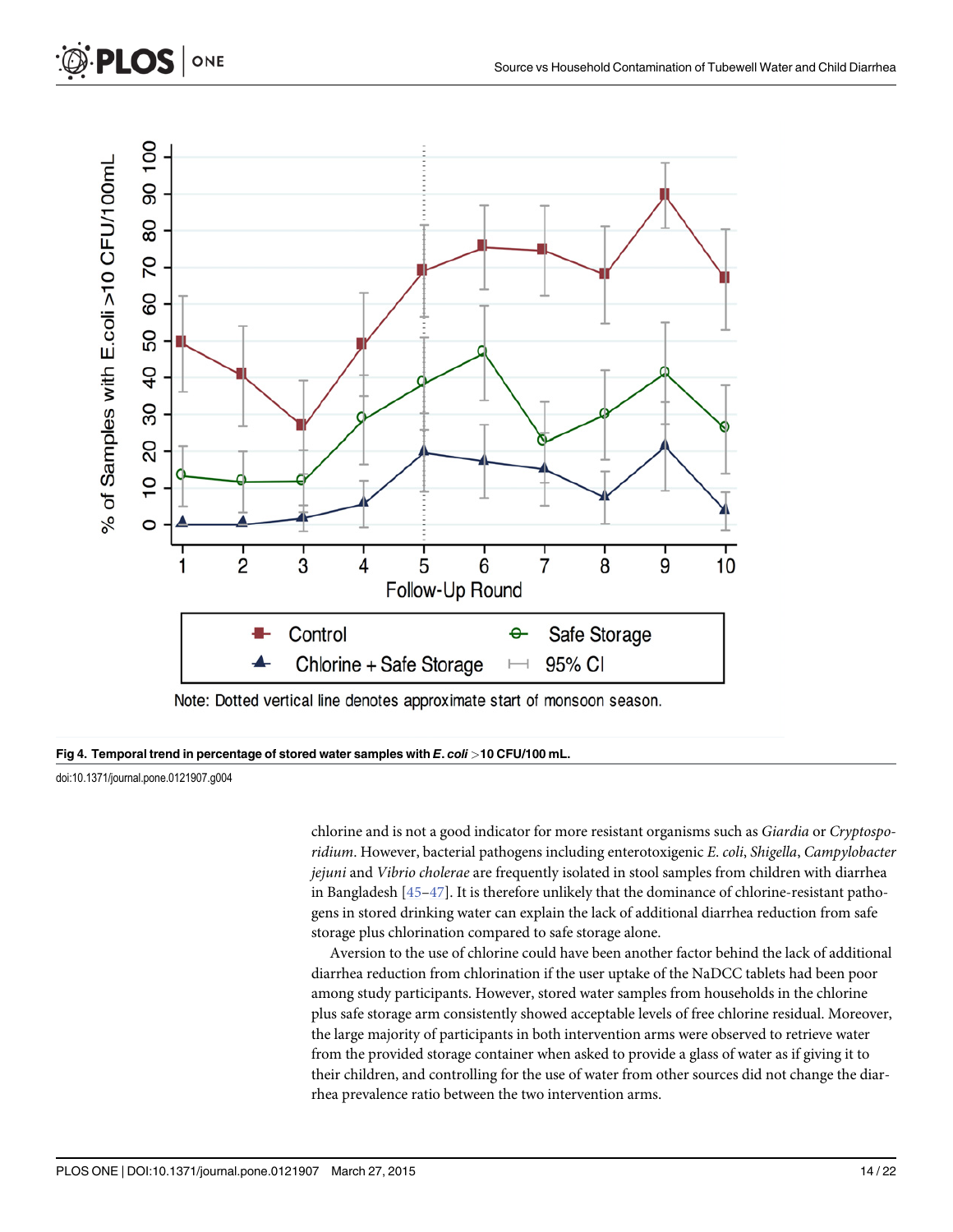<span id="page-13-0"></span>

#### [Fig 4. T](#page-8-0)emporal trend in percentage of stored water samples with  $E.$  coli >10 CFU/100 mL.

doi:10.1371/journal.pone.0121907.g004

chlorine and is not a good indicator for more resistant organisms such as Giardia or Cryptosporidium. However, bacterial pathogens including enterotoxigenic E. coli, Shigella, Campylobacter jejuni and Vibrio cholerae are frequently isolated in stool samples from children with diarrhea in Bangladesh  $[45-47]$  $[45-47]$  $[45-47]$ . It is therefore unlikely that the dominance of chlorine-resistant pathogens in stored drinking water can explain the lack of additional diarrhea reduction from safe storage plus chlorination compared to safe storage alone.

Aversion to the use of chlorine could have been another factor behind the lack of additional diarrhea reduction from chlorination if the user uptake of the NaDCC tablets had been poor among study participants. However, stored water samples from households in the chlorine plus safe storage arm consistently showed acceptable levels of free chlorine residual. Moreover, the large majority of participants in both intervention arms were observed to retrieve water from the provided storage container when asked to provide a glass of water as if giving it to their children, and controlling for the use of water from other sources did not change the diarrhea prevalence ratio between the two intervention arms.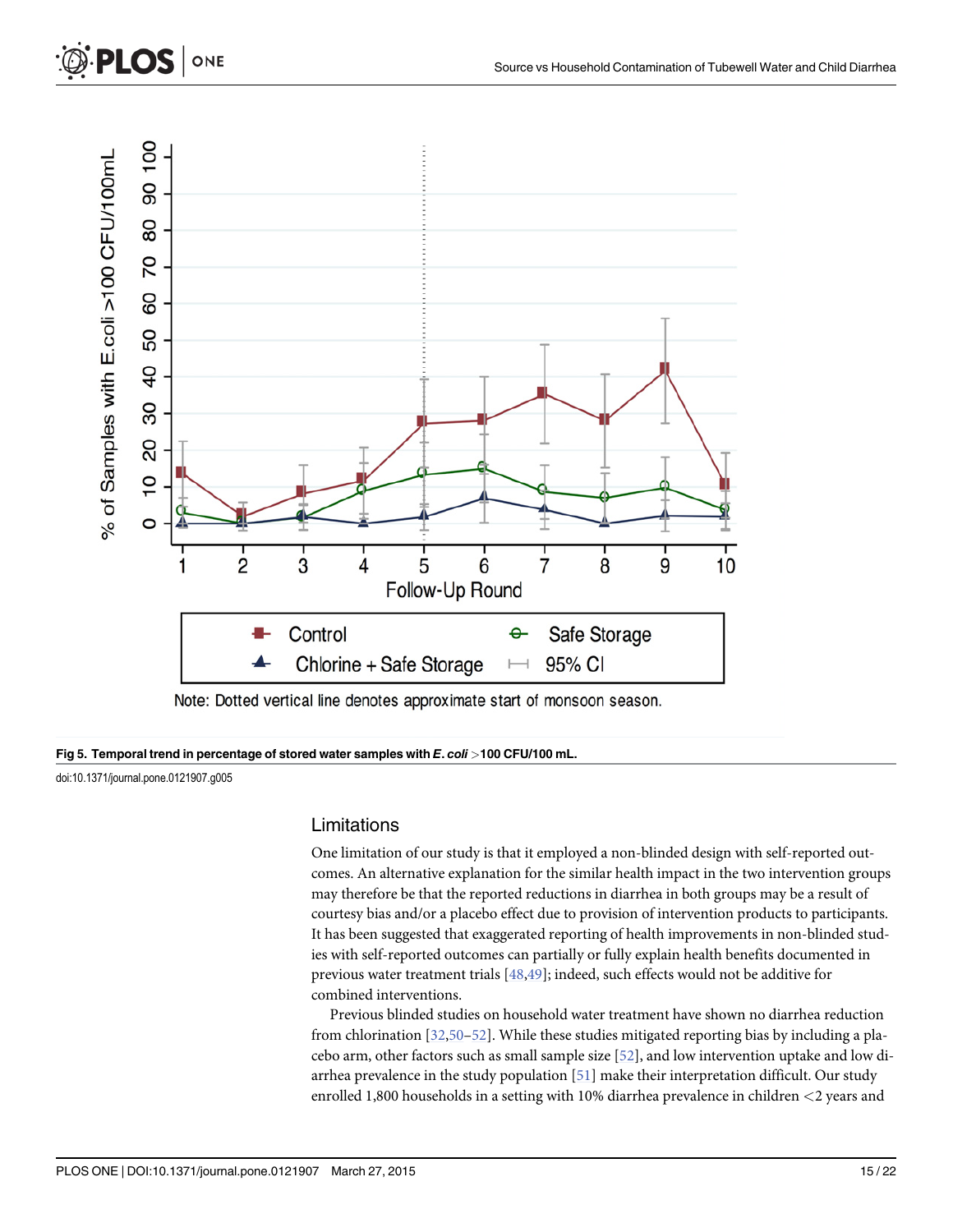<span id="page-14-0"></span>

#### [Fig 5. T](#page-8-0)emporal trend in percentage of stored water samples with E. coli >100 CFU/100 mL.

doi:10.1371/journal.pone.0121907.g005

#### Limitations

One limitation of our study is that it employed a non-blinded design with self-reported outcomes. An alternative explanation for the similar health impact in the two intervention groups may therefore be that the reported reductions in diarrhea in both groups may be a result of courtesy bias and/or a placebo effect due to provision of intervention products to participants. It has been suggested that exaggerated reporting of health improvements in non-blinded studies with self-reported outcomes can partially or fully explain health benefits documented in previous water treatment trials [\[48,](#page-20-0)[49](#page-21-0)]; indeed, such effects would not be additive for combined interventions.

Previous blinded studies on household water treatment have shown no diarrhea reduction from chlorination [[32](#page-20-0)[,50](#page-21-0)–[52\]](#page-21-0). While these studies mitigated reporting bias by including a placebo arm, other factors such as small sample size [\[52\]](#page-21-0), and low intervention uptake and low diarrhea prevalence in the study population  $[51]$  $[51]$  make their interpretation difficult. Our study enrolled 1,800 households in a setting with 10% diarrhea prevalence in children <2 years and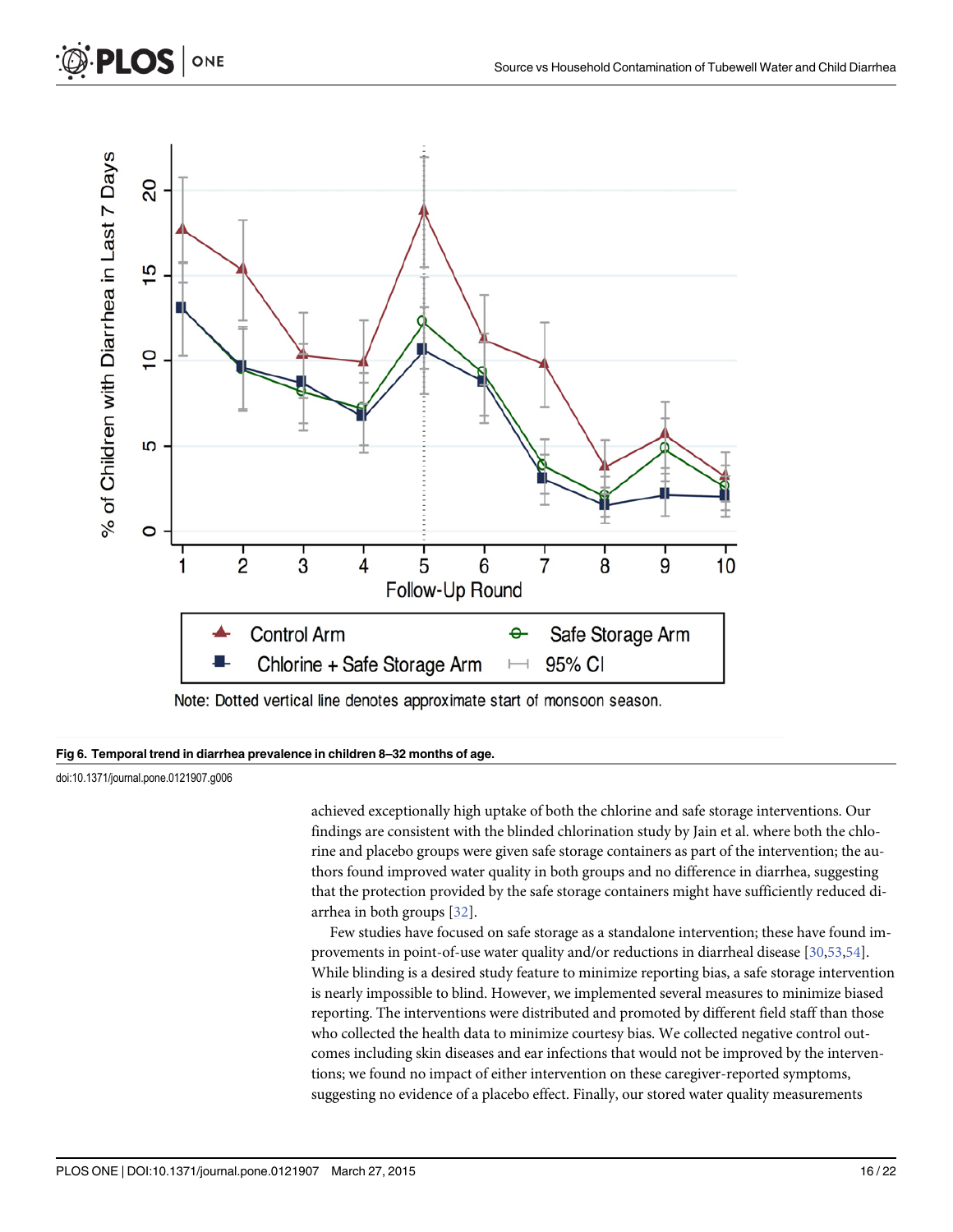<span id="page-15-0"></span>

#### [Fig 6. T](#page-8-0)emporal trend in diarrhea prevalence in children 8–32 months of age.

#### doi:10.1371/journal.pone.0121907.g006

achieved exceptionally high uptake of both the chlorine and safe storage interventions. Our findings are consistent with the blinded chlorination study by Jain et al. where both the chlorine and placebo groups were given safe storage containers as part of the intervention; the authors found improved water quality in both groups and no difference in diarrhea, suggesting that the protection provided by the safe storage containers might have sufficiently reduced diarrhea in both groups [\[32](#page-20-0)].

Few studies have focused on safe storage as a standalone intervention; these have found improvements in point-of-use water quality and/or reductions in diarrheal disease [[30,](#page-20-0)[53](#page-21-0),[54](#page-21-0)]. While blinding is a desired study feature to minimize reporting bias, a safe storage intervention is nearly impossible to blind. However, we implemented several measures to minimize biased reporting. The interventions were distributed and promoted by different field staff than those who collected the health data to minimize courtesy bias. We collected negative control outcomes including skin diseases and ear infections that would not be improved by the interventions; we found no impact of either intervention on these caregiver-reported symptoms, suggesting no evidence of a placebo effect. Finally, our stored water quality measurements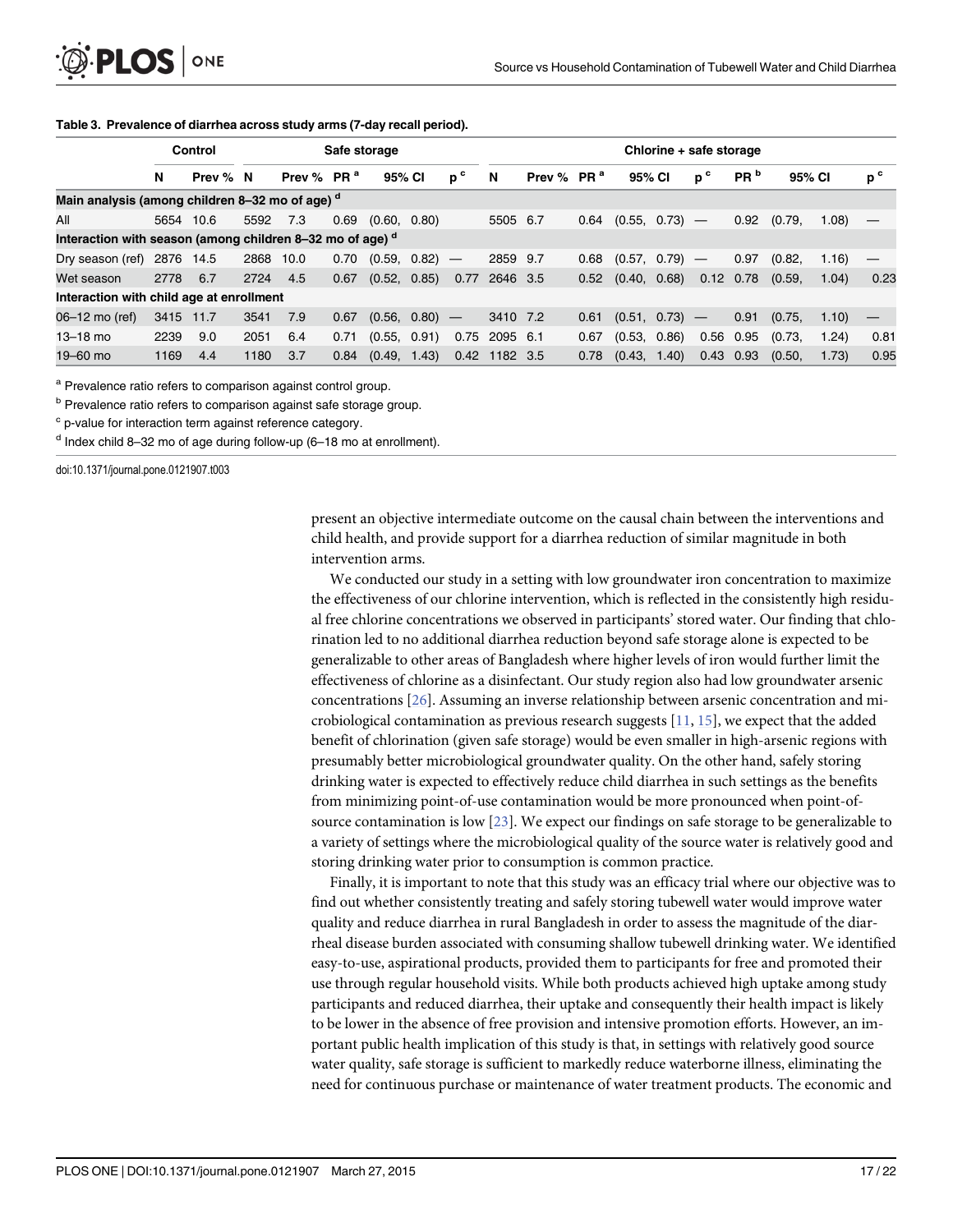|                                                                      | Control   |        |           | Safe storage           |      |                  |  | Chlorine + safe storage         |               |                        |      |              |  |                                 |                 |        |       |                |
|----------------------------------------------------------------------|-----------|--------|-----------|------------------------|------|------------------|--|---------------------------------|---------------|------------------------|------|--------------|--|---------------------------------|-----------------|--------|-------|----------------|
|                                                                      | N         | Prev % | N         | Prev % PR <sup>a</sup> |      | 95% CI           |  | p <sup>c</sup>                  | N             | Prev % PR <sup>a</sup> |      | 95% CI       |  | p <sup>c</sup>                  | PR <sup>b</sup> | 95% CI |       | p <sup>c</sup> |
| Main analysis (among children 8-32 mo of age) d                      |           |        |           |                        |      |                  |  |                                 |               |                        |      |              |  |                                 |                 |        |       |                |
| All                                                                  | 5654      | 10.6   | 5592      | 7.3                    | 0.69 | (0.60, 0.80)     |  |                                 | 5505 6.7      |                        | 0.64 | (0.55, 0.73) |  | $\hspace{0.1mm}-\hspace{0.1mm}$ | 0.92            | (0.79, | 1.08) |                |
| Interaction with season (among children 8-32 mo of age) <sup>d</sup> |           |        |           |                        |      |                  |  |                                 |               |                        |      |              |  |                                 |                 |        |       |                |
| Dry season (ref) 2876 14.5                                           |           |        | 2868 10.0 |                        | 0.70 | (0.59, 0.82)     |  | $\hspace{0.1mm}-\hspace{0.1mm}$ | 2859 9.7      |                        | 0.68 | (0.57, 0.79) |  | $\hspace{0.1mm}-\hspace{0.1mm}$ | 0.97            | (0.82, | 1.16) |                |
| Wet season                                                           | 2778      | 6.7    | 2724      | 4.5                    | 0.67 | (0.52, 0.85)     |  | 0.77                            | 2646 3.5      |                        | 0.52 | (0.40, 0.68) |  |                                 | $0.12$ 0.78     | (0.59, | 1.04) | 0.23           |
| Interaction with child age at enrollment                             |           |        |           |                        |      |                  |  |                                 |               |                        |      |              |  |                                 |                 |        |       |                |
| 06–12 mo (ref)                                                       | 3415 11.7 |        | 3541      | 7.9                    | 0.67 | $(0.56, 0.80)$ — |  |                                 | 3410 7.2      |                        | 0.61 | (0.51, 0.73) |  | $\hspace{0.1mm}-\hspace{0.1mm}$ | 0.91            | (0.75, | 1.10) |                |
| $13 - 18$ mo                                                         | 2239      | 9.0    | 2051      | 6.4                    | 0.71 | (0.55, 0.91)     |  |                                 | 0.75 2095 6.1 |                        | 0.67 | (0.53, 0.86) |  | 0.56                            | 0.95            | (0.73, | 1.24) | 0.81           |
| 19-60 mo                                                             | 1169      | 4.4    | 1180      | 3.7                    | 0.84 | (0.49, 1.43)     |  | 0.42                            | 1182 3.5      |                        | 0.78 | (0.43, 1.40) |  | 0.43                            | 0.93            | (0.50, | 1.73) | 0.95           |

#### <span id="page-16-0"></span>[Table 3.](#page-9-0) Prevalence of diarrhea across study arms (7-day recall period).

a Prevalence ratio refers to comparison against control group.

b Prevalence ratio refers to comparison against safe storage group.

<sup>c</sup> p-value for interaction term against reference category.

<sup>d</sup> Index child 8–32 mo of age during follow-up (6–18 mo at enrollment).

doi:10.1371/journal.pone.0121907.t003

present an objective intermediate outcome on the causal chain between the interventions and child health, and provide support for a diarrhea reduction of similar magnitude in both intervention arms.

We conducted our study in a setting with low groundwater iron concentration to maximize the effectiveness of our chlorine intervention, which is reflected in the consistently high residual free chlorine concentrations we observed in participants' stored water. Our finding that chlorination led to no additional diarrhea reduction beyond safe storage alone is expected to be generalizable to other areas of Bangladesh where higher levels of iron would further limit the effectiveness of chlorine as a disinfectant. Our study region also had low groundwater arsenic concentrations [[26](#page-19-0)]. Assuming an inverse relationship between arsenic concentration and microbiological contamination as previous research suggests  $[11, 15]$  $[11, 15]$  $[11, 15]$ , we expect that the added benefit of chlorination (given safe storage) would be even smaller in high-arsenic regions with presumably better microbiological groundwater quality. On the other hand, safely storing drinking water is expected to effectively reduce child diarrhea in such settings as the benefits from minimizing point-of-use contamination would be more pronounced when point-ofsource contamination is low [\[23\]](#page-19-0). We expect our findings on safe storage to be generalizable to a variety of settings where the microbiological quality of the source water is relatively good and storing drinking water prior to consumption is common practice.

Finally, it is important to note that this study was an efficacy trial where our objective was to find out whether consistently treating and safely storing tubewell water would improve water quality and reduce diarrhea in rural Bangladesh in order to assess the magnitude of the diarrheal disease burden associated with consuming shallow tubewell drinking water. We identified easy-to-use, aspirational products, provided them to participants for free and promoted their use through regular household visits. While both products achieved high uptake among study participants and reduced diarrhea, their uptake and consequently their health impact is likely to be lower in the absence of free provision and intensive promotion efforts. However, an important public health implication of this study is that, in settings with relatively good source water quality, safe storage is sufficient to markedly reduce waterborne illness, eliminating the need for continuous purchase or maintenance of water treatment products. The economic and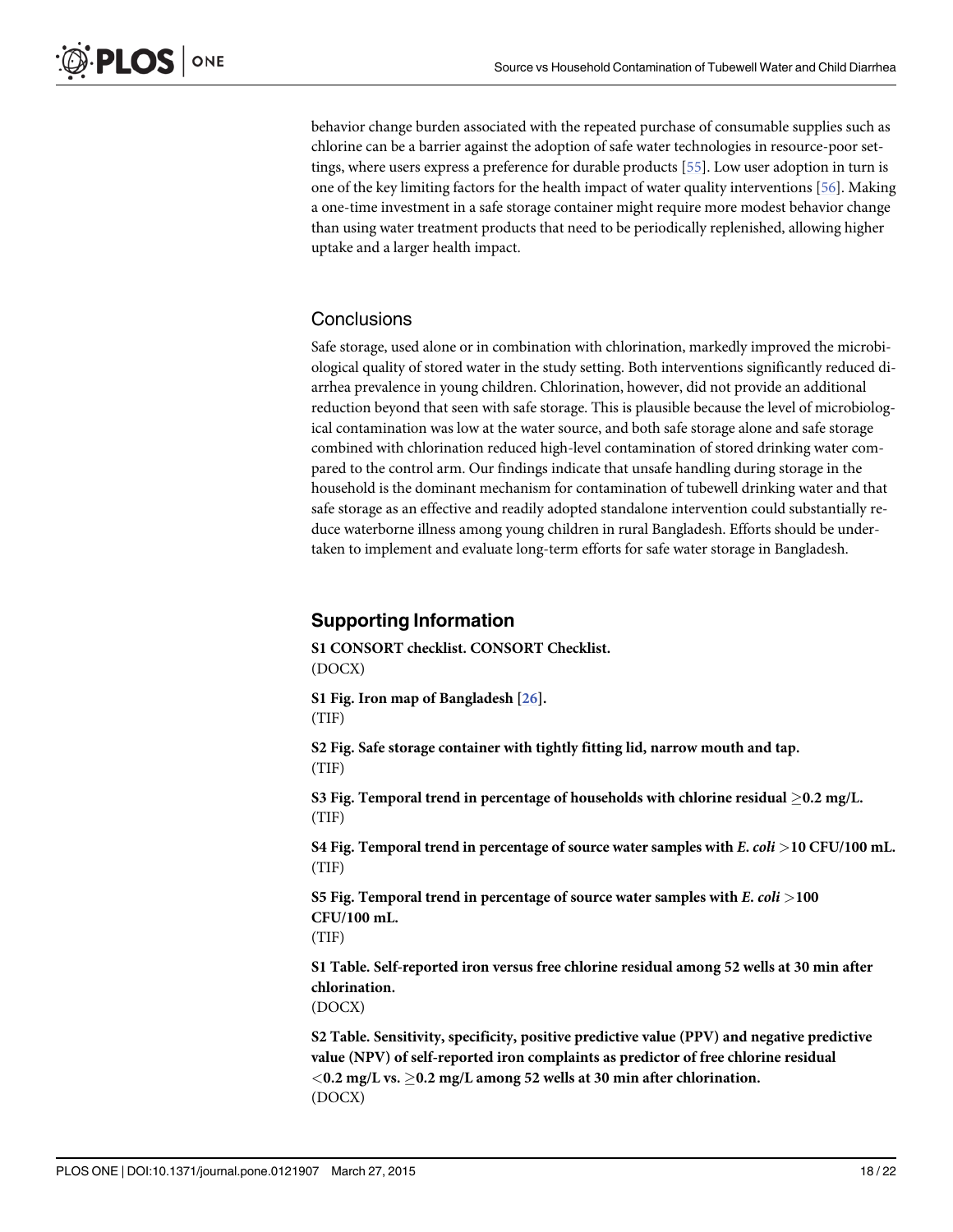<span id="page-17-0"></span>behavior change burden associated with the repeated purchase of consumable supplies such as chlorine can be a barrier against the adoption of safe water technologies in resource-poor settings, where users express a preference for durable products [\[55\]](#page-21-0). Low user adoption in turn is one of the key limiting factors for the health impact of water quality interventions [[56](#page-21-0)]. Making a one-time investment in a safe storage container might require more modest behavior change than using water treatment products that need to be periodically replenished, allowing higher uptake and a larger health impact.

#### **Conclusions**

Safe storage, used alone or in combination with chlorination, markedly improved the microbiological quality of stored water in the study setting. Both interventions significantly reduced diarrhea prevalence in young children. Chlorination, however, did not provide an additional reduction beyond that seen with safe storage. This is plausible because the level of microbiological contamination was low at the water source, and both safe storage alone and safe storage combined with chlorination reduced high-level contamination of stored drinking water compared to the control arm. Our findings indicate that unsafe handling during storage in the household is the dominant mechanism for contamination of tubewell drinking water and that safe storage as an effective and readily adopted standalone intervention could substantially reduce waterborne illness among young children in rural Bangladesh. Efforts should be undertaken to implement and evaluate long-term efforts for safe water storage in Bangladesh.

#### Supporting Information

[S1 CONSORT checklist.](http://www.plosone.org/article/fetchSingleRepresentation.action?uri=info:doi/10.1371/journal.pone.0121907.s001) CONSORT Checklist. (DOCX)

[S1 Fig.](http://www.plosone.org/article/fetchSingleRepresentation.action?uri=info:doi/10.1371/journal.pone.0121907.s002) Iron map of Bangladesh [[26](#page-19-0)]. (TIF)

[S2 Fig.](http://www.plosone.org/article/fetchSingleRepresentation.action?uri=info:doi/10.1371/journal.pone.0121907.s003) Safe storage container with tightly fitting lid, narrow mouth and tap. (TIF)

[S3 Fig.](http://www.plosone.org/article/fetchSingleRepresentation.action?uri=info:doi/10.1371/journal.pone.0121907.s004) Temporal trend in percentage of households with chlorine residual  $\geq$ 0.2 mg/L. (TIF)

[S4 Fig.](http://www.plosone.org/article/fetchSingleRepresentation.action?uri=info:doi/10.1371/journal.pone.0121907.s005) Temporal trend in percentage of source water samples with E. coli >10 CFU/100 mL. (TIF)

[S5 Fig.](http://www.plosone.org/article/fetchSingleRepresentation.action?uri=info:doi/10.1371/journal.pone.0121907.s006) Temporal trend in percentage of source water samples with  $E.$   $\frac{coli}{100}$ CFU/100 mL. (TIF)

[S1 Table](http://www.plosone.org/article/fetchSingleRepresentation.action?uri=info:doi/10.1371/journal.pone.0121907.s007). Self-reported iron versus free chlorine residual among 52 wells at 30 min after chlorination.

(DOCX)

[S2 Table](http://www.plosone.org/article/fetchSingleRepresentation.action?uri=info:doi/10.1371/journal.pone.0121907.s008). Sensitivity, specificity, positive predictive value (PPV) and negative predictive value (NPV) of self-reported iron complaints as predictor of free chlorine residual  $<$  0.2 mg/L vs.  $\geq$  0.2 mg/L among 52 wells at 30 min after chlorination. (DOCX)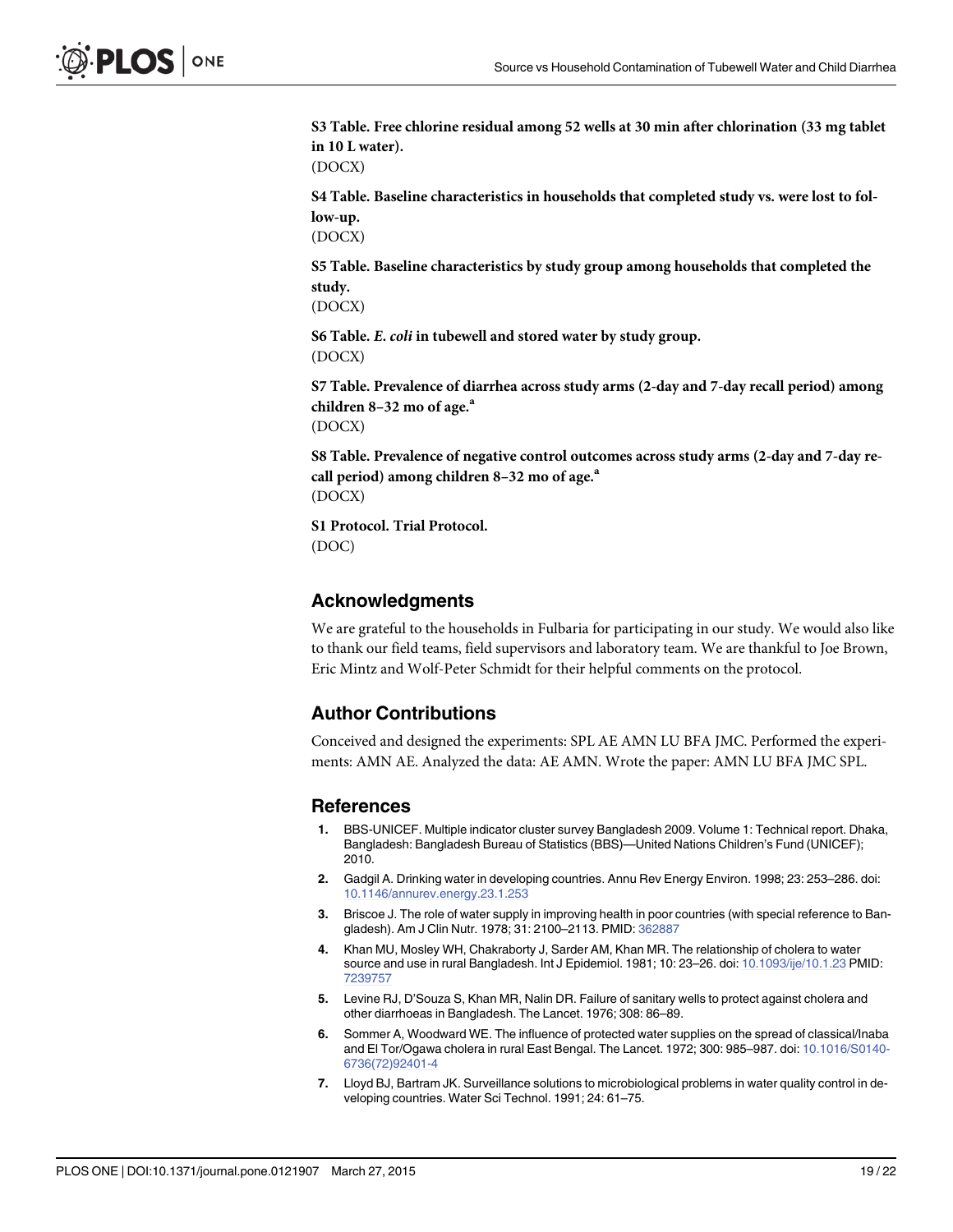<span id="page-18-0"></span>[S3 Table](http://www.plosone.org/article/fetchSingleRepresentation.action?uri=info:doi/10.1371/journal.pone.0121907.s010). Free chlorine residual among 52 wells at 30 min after chlorination (33 mg tablet in 10 L water).

(DOCX)

[S4 Table](http://www.plosone.org/article/fetchSingleRepresentation.action?uri=info:doi/10.1371/journal.pone.0121907.s010). Baseline characteristics in households that completed study vs. were lost to follow-up.

(DOCX)

[S5 Table](http://www.plosone.org/article/fetchSingleRepresentation.action?uri=info:doi/10.1371/journal.pone.0121907.s011). Baseline characteristics by study group among households that completed the study.

(DOCX)

[S6 Table](http://www.plosone.org/article/fetchSingleRepresentation.action?uri=info:doi/10.1371/journal.pone.0121907.s012). E. coli in tubewell and stored water by study group. (DOCX)

[S7 Table](http://www.plosone.org/article/fetchSingleRepresentation.action?uri=info:doi/10.1371/journal.pone.0121907.s013). Prevalence of diarrhea across study arms (2-day and 7-day recall period) among children 8–32 mo of age. $a$ (DOCX)

[S8 Table](http://www.plosone.org/article/fetchSingleRepresentation.action?uri=info:doi/10.1371/journal.pone.0121907.s014). Prevalence of negative control outcomes across study arms (2-day and 7-day recall period) among children 8-32 mo of age.<sup>a</sup> (DOCX)

[S1 Protocol.](http://www.plosone.org/article/fetchSingleRepresentation.action?uri=info:doi/10.1371/journal.pone.0121907.s015) Trial Protocol. (DOC)

#### Acknowledgments

We are grateful to the households in Fulbaria for participating in our study. We would also like to thank our field teams, field supervisors and laboratory team. We are thankful to Joe Brown, Eric Mintz and Wolf-Peter Schmidt for their helpful comments on the protocol.

#### Author Contributions

Conceived and designed the experiments: SPL AE AMN LU BFA JMC. Performed the experiments: AMN AE. Analyzed the data: AE AMN. Wrote the paper: AMN LU BFA JMC SPL.

#### References

- [1.](#page-1-0) BBS-UNICEF. Multiple indicator cluster survey Bangladesh 2009. Volume 1: Technical report. Dhaka, Bangladesh: Bangladesh Bureau of Statistics (BBS)—United Nations Children's Fund (UNICEF); 2010.
- [2.](#page-1-0) Gadgil A. Drinking water in developing countries. Annu Rev Energy Environ. 1998; 23: 253–286. doi: [10.1146/annurev.energy.23.1.253](http://dx.doi.org/10.1146/annurev.energy.23.1.253)
- [3.](#page-1-0) Briscoe J. The role of water supply in improving health in poor countries (with special reference to Bangladesh). Am J Clin Nutr. 1978; 31: 2100–2113. PMID: [362887](http://www.ncbi.nlm.nih.gov/pubmed/362887)
- 4. Khan MU, Mosley WH, Chakraborty J, Sarder AM, Khan MR. The relationship of cholera to water source and use in rural Bangladesh. Int J Epidemiol. 1981; 10: 23-26. doi: [10.1093/ije/10.1.23](http://dx.doi.org/10.1093/ije/10.1.23) PMID: [7239757](http://www.ncbi.nlm.nih.gov/pubmed/7239757)
- 5. Levine RJ, D'Souza S, Khan MR, Nalin DR. Failure of sanitary wells to protect against cholera and other diarrhoeas in Bangladesh. The Lancet. 1976; 308: 86–89.
- [6.](#page-1-0) Sommer A, Woodward WE. The influence of protected water supplies on the spread of classical/Inaba and El Tor/Ogawa cholera in rural East Bengal. The Lancet. 1972; 300: 985–987. doi: [10.1016/S0140-](http://dx.doi.org/10.1016/S0140-6736(72)92401-4) [6736\(72\)92401-4](http://dx.doi.org/10.1016/S0140-6736(72)92401-4)
- [7.](#page-1-0) Lloyd BJ, Bartram JK. Surveillance solutions to microbiological problems in water quality control in developing countries. Water Sci Technol. 1991; 24: 61–75.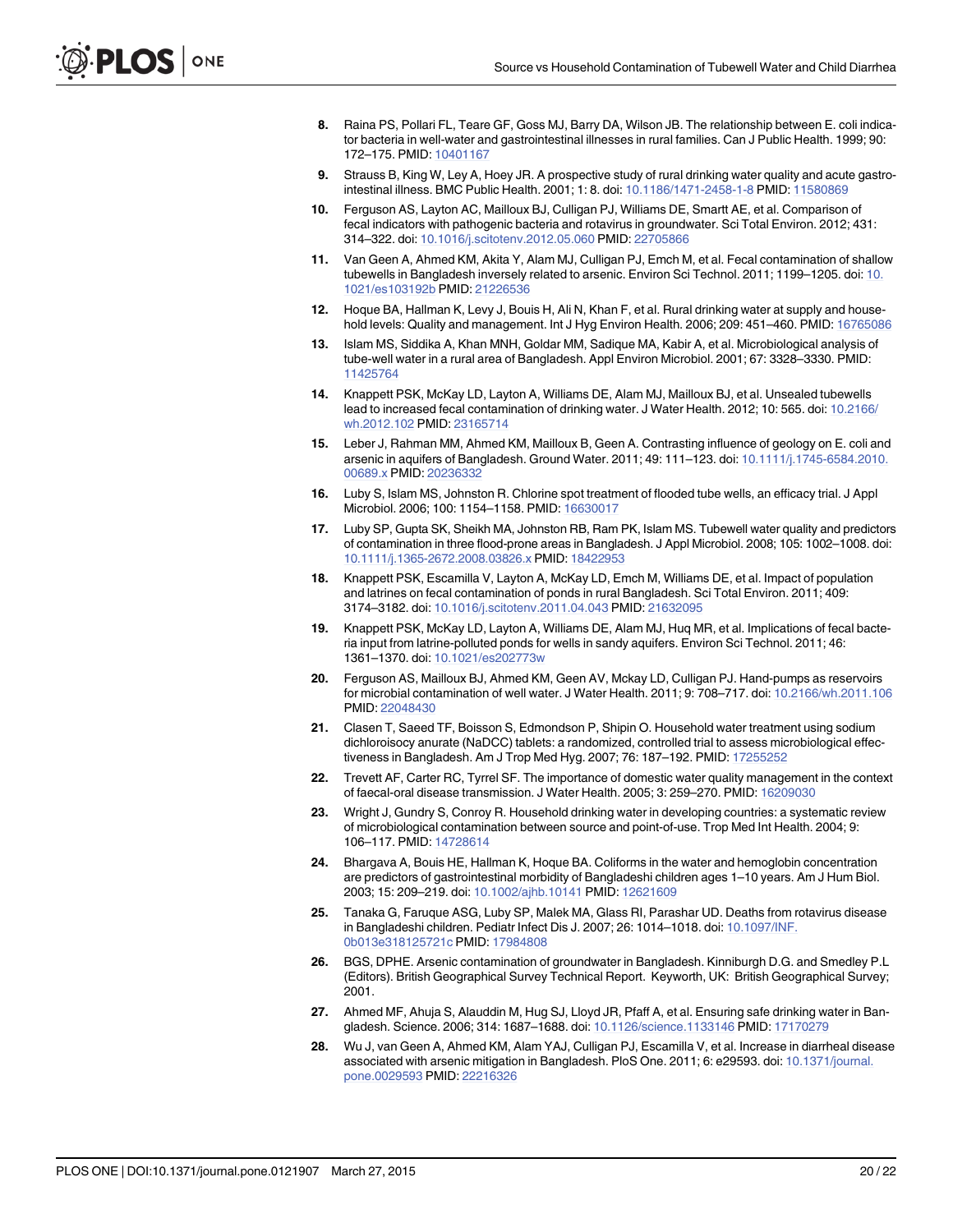- <span id="page-19-0"></span>8. Raina PS, Pollari FL, Teare GF, Goss MJ, Barry DA, Wilson JB. The relationship between E. coli indicator bacteria in well-water and gastrointestinal illnesses in rural families. Can J Public Health. 1999; 90: 172–175. PMID: [10401167](http://www.ncbi.nlm.nih.gov/pubmed/10401167)
- [9.](#page-1-0) Strauss B, King W, Ley A, Hoey JR. A prospective study of rural drinking water quality and acute gastrointestinal illness. BMC Public Health. 2001; 1: 8. doi: [10.1186/1471-2458-1-8](http://dx.doi.org/10.1186/1471-2458-1-8) PMID: [11580869](http://www.ncbi.nlm.nih.gov/pubmed/11580869)
- [10.](#page-1-0) Ferguson AS, Layton AC, Mailloux BJ, Culligan PJ, Williams DE, Smartt AE, et al. Comparison of fecal indicators with pathogenic bacteria and rotavirus in groundwater. Sci Total Environ. 2012; 431: 314–322. doi: [10.1016/j.scitotenv.2012.05.060](http://dx.doi.org/10.1016/j.scitotenv.2012.05.060) PMID: [22705866](http://www.ncbi.nlm.nih.gov/pubmed/22705866)
- [11.](#page-2-0) Van Geen A, Ahmed KM, Akita Y, Alam MJ, Culligan PJ, Emch M, et al. Fecal contamination of shallow tubewells in Bangladesh inversely related to arsenic. Environ Sci Technol. 2011; 1199-1205. doi: [10.](http://dx.doi.org/10.1021/es103192b) [1021/es103192b](http://dx.doi.org/10.1021/es103192b) PMID: [21226536](http://www.ncbi.nlm.nih.gov/pubmed/21226536)
- [12.](#page-1-0) Hoque BA, Hallman K, Levy J, Bouis H, Ali N, Khan F, et al. Rural drinking water at supply and household levels: Quality and management. Int J Hyg Environ Health. 2006; 209: 451–460. PMID: [16765086](http://www.ncbi.nlm.nih.gov/pubmed/16765086)
- 13. Islam MS, Siddika A, Khan MNH, Goldar MM, Sadique MA, Kabir A, et al. Microbiological analysis of tube-well water in a rural area of Bangladesh. Appl Environ Microbiol. 2001; 67: 3328–3330. PMID: [11425764](http://www.ncbi.nlm.nih.gov/pubmed/11425764)
- [14.](#page-1-0) Knappett PSK, McKay LD, Layton A, Williams DE, Alam MJ, Mailloux BJ, et al. Unsealed tubewells lead to increased fecal contamination of drinking water. J Water Health. 2012; 10: 565. doi: [10.2166/](http://dx.doi.org/10.2166/wh.2012.102) [wh.2012.102](http://dx.doi.org/10.2166/wh.2012.102) PMID: [23165714](http://www.ncbi.nlm.nih.gov/pubmed/23165714)
- [15.](#page-2-0) Leber J, Rahman MM, Ahmed KM, Mailloux B, Geen A. Contrasting influence of geology on E. coli and arsenic in aquifers of Bangladesh. Ground Water. 2011; 49: 111–123. doi: [10.1111/j.1745-6584.2010.](http://dx.doi.org/10.1111/j.1745-6584.2010.00689.x) [00689.x](http://dx.doi.org/10.1111/j.1745-6584.2010.00689.x) PMID: [20236332](http://www.ncbi.nlm.nih.gov/pubmed/20236332)
- 16. Luby S, Islam MS, Johnston R. Chlorine spot treatment of flooded tube wells, an efficacy trial. J Appl Microbiol. 2006; 100: 1154–1158. PMID: [16630017](http://www.ncbi.nlm.nih.gov/pubmed/16630017)
- [17.](#page-1-0) Luby SP, Gupta SK, Sheikh MA, Johnston RB, Ram PK, Islam MS. Tubewell water quality and predictors of contamination in three flood-prone areas in Bangladesh. J Appl Microbiol. 2008; 105: 1002–1008. doi: [10.1111/j.1365-2672.2008.03826.x](http://dx.doi.org/10.1111/j.1365-2672.2008.03826.x) PMID: [18422953](http://www.ncbi.nlm.nih.gov/pubmed/18422953)
- [18.](#page-1-0) Knappett PSK, Escamilla V, Layton A, McKay LD, Emch M, Williams DE, et al. Impact of population and latrines on fecal contamination of ponds in rural Bangladesh. Sci Total Environ. 2011; 409: 3174–3182. doi: [10.1016/j.scitotenv.2011.04.043](http://dx.doi.org/10.1016/j.scitotenv.2011.04.043) PMID: [21632095](http://www.ncbi.nlm.nih.gov/pubmed/21632095)
- [19.](#page-1-0) Knappett PSK, McKay LD, Layton A, Williams DE, Alam MJ, Huq MR, et al. Implications of fecal bacteria input from latrine-polluted ponds for wells in sandy aquifers. Environ Sci Technol. 2011; 46: 1361–1370. doi: [10.1021/es202773w](http://dx.doi.org/10.1021/es202773w)
- [20.](#page-1-0) Ferguson AS, Mailloux BJ, Ahmed KM, Geen AV, Mckay LD, Culligan PJ. Hand-pumps as reservoirs for microbial contamination of well water. J Water Health. 2011; 9: 708–717. doi: [10.2166/wh.2011.106](http://dx.doi.org/10.2166/wh.2011.106) PMID: [22048430](http://www.ncbi.nlm.nih.gov/pubmed/22048430)
- [21.](#page-1-0) Clasen T, Saeed TF, Boisson S, Edmondson P, Shipin O. Household water treatment using sodium dichloroisocy anurate (NaDCC) tablets: a randomized, controlled trial to assess microbiological effec-tiveness in Bangladesh. Am J Trop Med Hyg. 2007; 76: 187-192. PMID: [17255252](http://www.ncbi.nlm.nih.gov/pubmed/17255252)
- [22.](#page-1-0) Trevett AF, Carter RC, Tyrrel SF. The importance of domestic water quality management in the context of faecal-oral disease transmission. J Water Health. 2005; 3: 259–270. PMID: [16209030](http://www.ncbi.nlm.nih.gov/pubmed/16209030)
- [23.](#page-1-0) Wright J, Gundry S, Conroy R. Household drinking water in developing countries: a systematic review of microbiological contamination between source and point-of-use. Trop Med Int Health. 2004; 9: 106–117. PMID: [14728614](http://www.ncbi.nlm.nih.gov/pubmed/14728614)
- [24.](#page-1-0) Bhargava A, Bouis HE, Hallman K, Hoque BA. Coliforms in the water and hemoglobin concentration are predictors of gastrointestinal morbidity of Bangladeshi children ages 1–10 years. Am J Hum Biol. 2003; 15: 209–219. doi: [10.1002/ajhb.10141](http://dx.doi.org/10.1002/ajhb.10141) PMID: [12621609](http://www.ncbi.nlm.nih.gov/pubmed/12621609)
- [25.](#page-1-0) Tanaka G, Faruque ASG, Luby SP, Malek MA, Glass RI, Parashar UD. Deaths from rotavirus disease in Bangladeshi children. Pediatr Infect Dis J. 2007; 26: 1014–1018. doi: [10.1097/INF.](http://dx.doi.org/10.1097/INF.0b013e318125721c) [0b013e318125721c](http://dx.doi.org/10.1097/INF.0b013e318125721c) PMID: [17984808](http://www.ncbi.nlm.nih.gov/pubmed/17984808)
- [26.](#page-2-0) BGS, DPHE. Arsenic contamination of groundwater in Bangladesh. Kinniburgh D.G. and Smedley P.L (Editors). British Geographical Survey Technical Report. Keyworth, UK: British Geographical Survey; 2001.
- [27.](#page-2-0) Ahmed MF, Ahuja S, Alauddin M, Hug SJ, Lloyd JR, Pfaff A, et al. Ensuring safe drinking water in Ban-gladesh. Science. 2006; 314: 1687-1688. doi: [10.1126/science.1133146](http://dx.doi.org/10.1126/science.1133146) PMID: [17170279](http://www.ncbi.nlm.nih.gov/pubmed/17170279)
- [28.](#page-2-0) Wu J, van Geen A, Ahmed KM, Alam YAJ, Culligan PJ, Escamilla V, et al. Increase in diarrheal disease associated with arsenic mitigation in Bangladesh. PloS One. 2011; 6: e29593. doi: [10.1371/journal.](http://dx.doi.org/10.1371/journal.pone.0029593) [pone.0029593](http://dx.doi.org/10.1371/journal.pone.0029593) PMID: [22216326](http://www.ncbi.nlm.nih.gov/pubmed/22216326)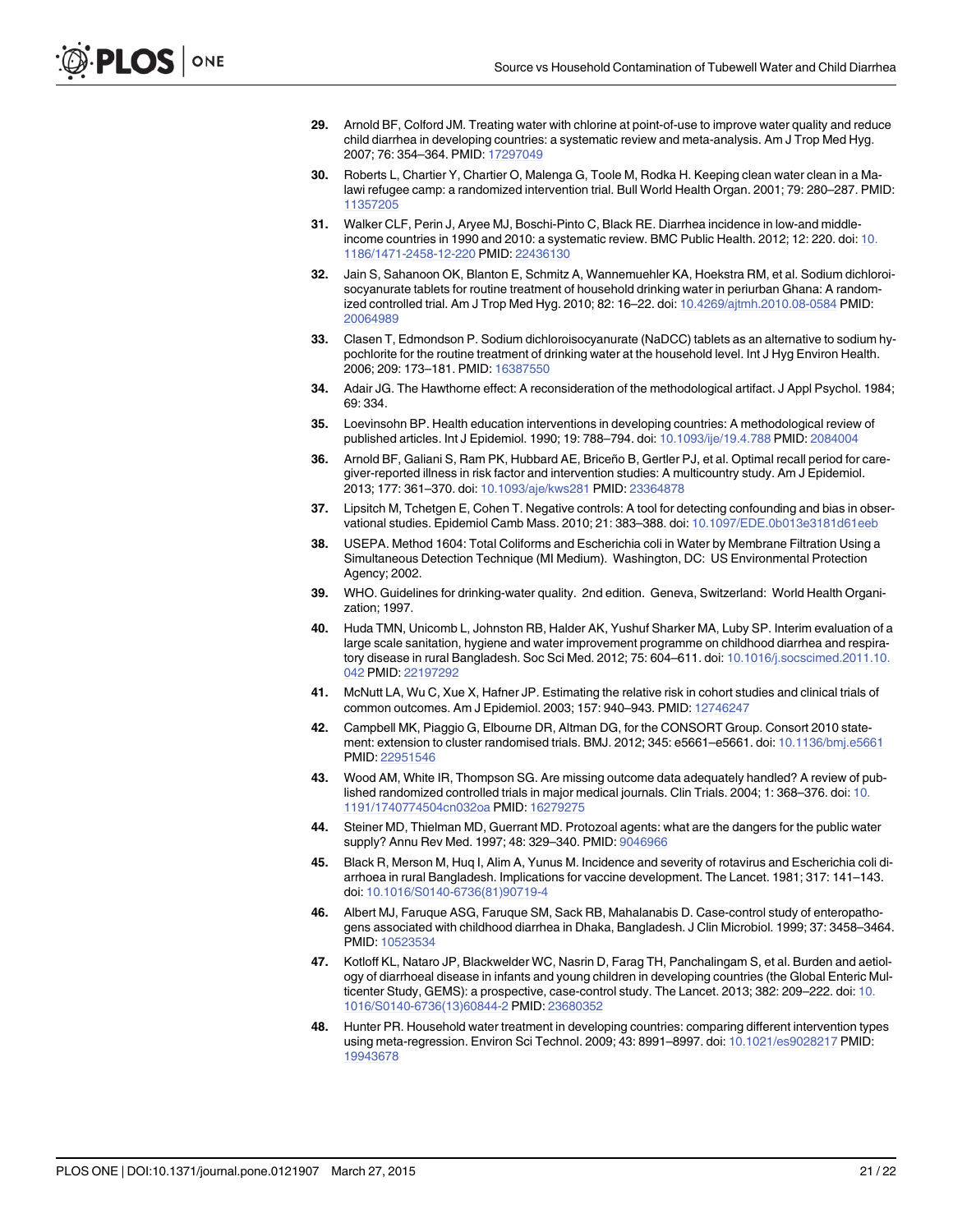- <span id="page-20-0"></span>[29.](#page-2-0) Arnold BF, Colford JM. Treating water with chlorine at point-of-use to improve water quality and reduce child diarrhea in developing countries: a systematic review and meta-analysis. Am J Trop Med Hyg. 2007; 76: 354–364. PMID: [17297049](http://www.ncbi.nlm.nih.gov/pubmed/17297049)
- [30.](#page-2-0) Roberts L, Chartier Y, Chartier O, Malenga G, Toole M, Rodka H. Keeping clean water clean in a Malawi refugee camp: a randomized intervention trial. Bull World Health Organ. 2001; 79: 280–287. PMID: [11357205](http://www.ncbi.nlm.nih.gov/pubmed/11357205)
- [31.](#page-3-0) Walker CLF, Perin J, Aryee MJ, Boschi-Pinto C, Black RE. Diarrhea incidence in low-and middle-income countries in 1990 and 2010: a systematic review. BMC Public Health. 2012; 12: 220. doi: [10.](http://dx.doi.org/10.1186/1471-2458-12-220) [1186/1471-2458-12-220](http://dx.doi.org/10.1186/1471-2458-12-220) PMID: [22436130](http://www.ncbi.nlm.nih.gov/pubmed/22436130)
- [32.](#page-3-0) Jain S, Sahanoon OK, Blanton E, Schmitz A, Wannemuehler KA, Hoekstra RM, et al. Sodium dichloroisocyanurate tablets for routine treatment of household drinking water in periurban Ghana: A randomized controlled trial. Am J Trop Med Hyg. 2010; 82: 16–22. doi: [10.4269/ajtmh.2010.08-0584](http://dx.doi.org/10.4269/ajtmh.2010.08-0584) PMID: [20064989](http://www.ncbi.nlm.nih.gov/pubmed/20064989)
- [33.](#page-3-0) Clasen T, Edmondson P. Sodium dichloroisocyanurate (NaDCC) tablets as an alternative to sodium hypochlorite for the routine treatment of drinking water at the household level. Int J Hyg Environ Health. 2006; 209: 173–181. PMID: [16387550](http://www.ncbi.nlm.nih.gov/pubmed/16387550)
- [34.](#page-4-0) Adair JG. The Hawthorne effect: A reconsideration of the methodological artifact. J Appl Psychol. 1984; 69: 334.
- [35.](#page-4-0) Loevinsohn BP. Health education interventions in developing countries: A methodological review of published articles. Int J Epidemiol. 1990; 19: 788–794. doi: [10.1093/ije/19.4.788](http://dx.doi.org/10.1093/ije/19.4.788) PMID: [2084004](http://www.ncbi.nlm.nih.gov/pubmed/2084004)
- [36.](#page-4-0) Arnold BF, Galiani S, Ram PK, Hubbard AE, Briceño B, Gertler PJ, et al. Optimal recall period for caregiver-reported illness in risk factor and intervention studies: A multicountry study. Am J Epidemiol. 2013; 177: 361–370. doi: [10.1093/aje/kws281](http://dx.doi.org/10.1093/aje/kws281) PMID: [23364878](http://www.ncbi.nlm.nih.gov/pubmed/23364878)
- [37.](#page-4-0) Lipsitch M, Tchetgen E, Cohen T. Negative controls: A tool for detecting confounding and bias in observational studies. Epidemiol Camb Mass. 2010; 21: 383–388. doi: [10.1097/EDE.0b013e3181d61eeb](http://dx.doi.org/10.1097/EDE.0b013e3181d61eeb)
- [38.](#page-5-0) USEPA. Method 1604: Total Coliforms and Escherichia coli in Water by Membrane Filtration Using a Simultaneous Detection Technique (MI Medium). Washington, DC: US Environmental Protection Agency; 2002.
- [39.](#page-5-0) WHO. Guidelines for drinking-water quality. 2nd edition. Geneva, Switzerland: World Health Organization; 1997.
- [40.](#page-5-0) Huda TMN, Unicomb L, Johnston RB, Halder AK, Yushuf Sharker MA, Luby SP. Interim evaluation of a large scale sanitation, hygiene and water improvement programme on childhood diarrhea and respiratory disease in rural Bangladesh. Soc Sci Med. 2012; 75: 604–611. doi: [10.1016/j.socscimed.2011.10.](http://dx.doi.org/10.1016/j.socscimed.2011.10.042) [042](http://dx.doi.org/10.1016/j.socscimed.2011.10.042) PMID: [22197292](http://www.ncbi.nlm.nih.gov/pubmed/22197292)
- [41.](#page-5-0) McNutt LA, Wu C, Xue X, Hafner JP. Estimating the relative risk in cohort studies and clinical trials of common outcomes. Am J Epidemiol. 2003; 157: 940–943. PMID: [12746247](http://www.ncbi.nlm.nih.gov/pubmed/12746247)
- [42.](#page-5-0) Campbell MK, Piaggio G, Elbourne DR, Altman DG, for the CONSORT Group. Consort 2010 statement: extension to cluster randomised trials. BMJ. 2012; 345: e5661–e5661. doi: [10.1136/bmj.e5661](http://dx.doi.org/10.1136/bmj.e5661) PMID: [22951546](http://www.ncbi.nlm.nih.gov/pubmed/22951546)
- [43.](#page-6-0) Wood AM, White IR, Thompson SG. Are missing outcome data adequately handled? A review of published randomized controlled trials in major medical journals. Clin Trials. 2004; 1: 368–376. doi: [10.](http://dx.doi.org/10.1191/1740774504cn032oa) [1191/1740774504cn032oa](http://dx.doi.org/10.1191/1740774504cn032oa) PMID: [16279275](http://www.ncbi.nlm.nih.gov/pubmed/16279275)
- [44.](#page-12-0) Steiner MD, Thielman MD, Guerrant MD. Protozoal agents: what are the dangers for the public water supply? Annu Rev Med. 1997; 48: 329–340. PMID: [9046966](http://www.ncbi.nlm.nih.gov/pubmed/9046966)
- [45.](#page-13-0) Black R, Merson M, Huq I, Alim A, Yunus M. Incidence and severity of rotavirus and Escherichia coli diarrhoea in rural Bangladesh. Implications for vaccine development. The Lancet. 1981; 317: 141–143. doi: [10.1016/S0140-6736\(81\)90719-4](http://dx.doi.org/10.1016/S0140-6736(81)90719-4)
- 46. Albert MJ, Faruque ASG, Faruque SM, Sack RB, Mahalanabis D. Case-control study of enteropathogens associated with childhood diarrhea in Dhaka, Bangladesh. J Clin Microbiol. 1999; 37: 3458–3464. PMID: [10523534](http://www.ncbi.nlm.nih.gov/pubmed/10523534)
- [47.](#page-13-0) Kotloff KL, Nataro JP, Blackwelder WC, Nasrin D, Farag TH, Panchalingam S, et al. Burden and aetiology of diarrhoeal disease in infants and young children in developing countries (the Global Enteric Multicenter Study, GEMS): a prospective, case-control study. The Lancet. 2013; 382: 209–222. doi: [10.](http://dx.doi.org/10.1016/S0140-6736(13)60844-2) [1016/S0140-6736\(13\)60844-2](http://dx.doi.org/10.1016/S0140-6736(13)60844-2) PMID: [23680352](http://www.ncbi.nlm.nih.gov/pubmed/23680352)
- [48.](#page-14-0) Hunter PR. Household water treatment in developing countries: comparing different intervention types using meta-regression. Environ Sci Technol. 2009; 43: 8991–8997. doi: [10.1021/es9028217](http://dx.doi.org/10.1021/es9028217) PMID: [19943678](http://www.ncbi.nlm.nih.gov/pubmed/19943678)